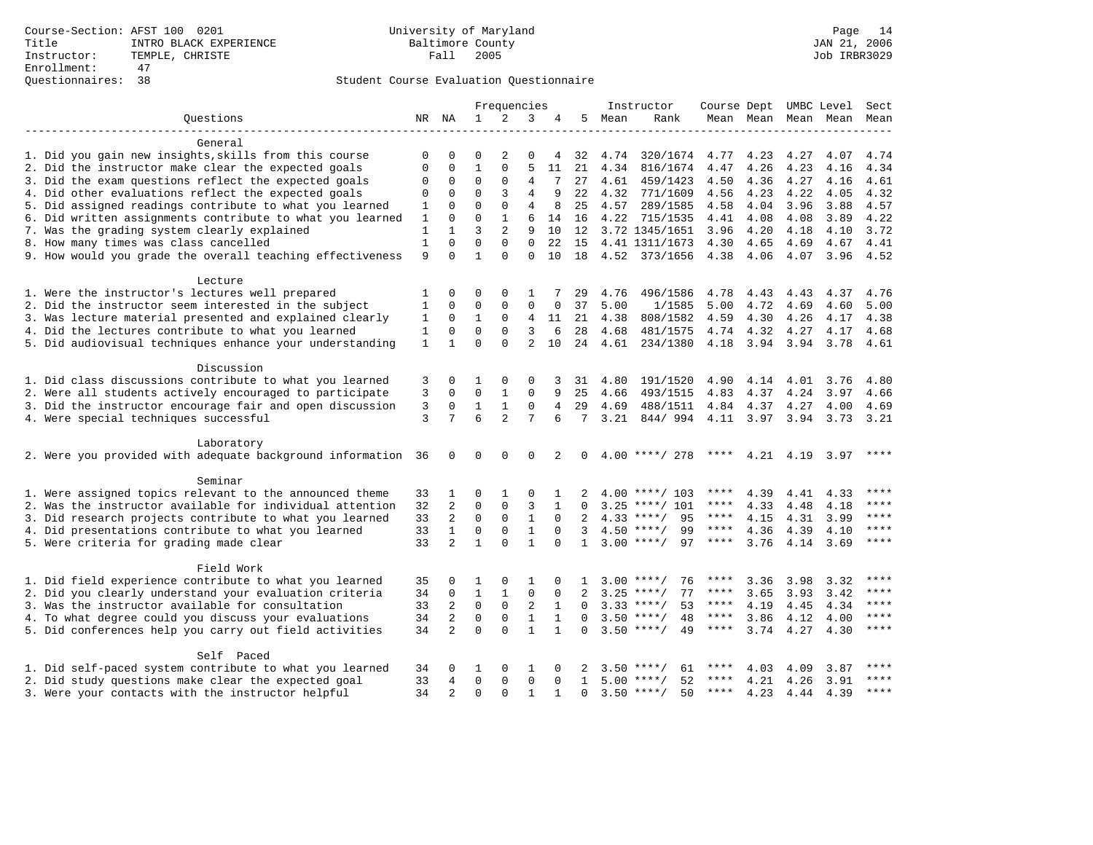|                                                              |              |                |              | Frequencies    |                |              |                 |      | Instructor         |             |           |           | Course Dept UMBC Level | Sect        |
|--------------------------------------------------------------|--------------|----------------|--------------|----------------|----------------|--------------|-----------------|------|--------------------|-------------|-----------|-----------|------------------------|-------------|
| Ouestions                                                    | NR           | NA             | $\mathbf{1}$ | 2              | 3              | 4            | 5               | Mean | Rank               |             | Mean Mean | Mean      | Mean                   | Mean        |
|                                                              |              |                |              |                |                |              |                 |      |                    |             |           |           |                        |             |
| General                                                      |              |                |              |                |                |              |                 |      |                    |             |           |           |                        |             |
| 1. Did you gain new insights, skills from this course        | 0            | $\Omega$       | $\Omega$     | $\overline{2}$ | 0              | 4            | 32              | 4.74 | 320/1674           | 4.77        | 4.23      | 4.27      | 4.07                   | 4.74        |
| 2. Did the instructor make clear the expected goals          | 0            | $\mathbf 0$    | $\mathbf{1}$ | $\mathbf{0}$   | 5              | 11           | 21              | 4.34 | 816/1674           | 4.47        | 4.26      | 4.23      | 4.16                   | 4.34        |
| 3. Did the exam questions reflect the expected goals         | $\Omega$     | 0              | 0            | $\mathbf 0$    | 4              | 7            | 27              | 4.61 | 459/1423           | 4.50        | 4.36      | 4.27      | 4.16                   | 4.61        |
| 4. Did other evaluations reflect the expected goals          | 0            | $\Omega$       | $\Omega$     | 3              | 4              | 9            | 22              | 4.32 | 771/1609           | 4.56        | 4.23      | 4.22      | 4.05                   | 4.32        |
| 5. Did assigned readings contribute to what you learned      | 1            | $\Omega$       | $\mathbf 0$  | $\mathbf 0$    | $\overline{4}$ | 8            | 25              | 4.57 | 289/1585           | 4.58        | 4.04      | 3.96      | 3.88                   | 4.57        |
| 6. Did written assignments contribute to what you learned    | $\mathbf{1}$ | $\mathbf 0$    | $\Omega$     | $\mathbf{1}$   | 6              | 14           | 16              | 4.22 | 715/1535           | 4.41        | 4.08      | 4.08      | 3.89                   | 4.22        |
| 7. Was the grading system clearly explained                  | 1            | $\mathbf{1}$   | 3            | 2              | 9              | 10           | 12              |      | 3.72 1345/1651     | 3.96        | 4.20      | 4.18      | 4.10                   | 3.72        |
| 8. How many times was class cancelled                        | $\mathbf{1}$ | $\Omega$       | $\Omega$     | $\Omega$       | $\Omega$       | 22           | 15              |      | 4.41 1311/1673     | 4.30        | 4.65      | 4.69      | 4.67                   | 4.41        |
| 9. How would you grade the overall teaching effectiveness    | 9            | $\Omega$       | $\mathbf{1}$ | $\Omega$       | $\Omega$       | 10           | 18              |      | 4.52 373/1656      | 4.38        | 4.06      | 4.07      |                        | $3.96$ 4.52 |
| Lecture                                                      |              |                |              |                |                |              |                 |      |                    |             |           |           |                        |             |
| 1. Were the instructor's lectures well prepared              | 1            | $\Omega$       | $\Omega$     | $\Omega$       | 1              |              | 29              | 4.76 | 496/1586           | 4.78        | 4.43      | 4.43      | 4.37                   | 4.76        |
| 2. Did the instructor seem interested in the subject         | 1            | $\mathbf 0$    | $\mathsf 0$  | $\mathbf{0}$   | $\mathbf 0$    | 0            | 37              | 5.00 | 1/1585             | 5.00        | 4.72      | 4.69      | 4.60                   | 5.00        |
| 3. Was lecture material presented and explained clearly      | 1            | 0              | 1            | $\mathbf 0$    | 4              | 11           | 21              | 4.38 | 808/1582           | 4.59        | 4.30      | 4.26      | 4.17                   | 4.38        |
| 4. Did the lectures contribute to what you learned           | 1            | 0              | $\mathbf 0$  | $\Omega$       | 3              | 6            | 28              | 4.68 | 481/1575           |             | 4.74 4.32 | 4.27      | 4.17                   | 4.68        |
| 5. Did audiovisual techniques enhance your understanding     | $\mathbf{1}$ | $\mathbf{1}$   | $\Omega$     | $\Omega$       | $\mathfrak{D}$ | 10           | 2.4             | 4.61 | 234/1380           | 4.18        | 3.94 3.94 |           | 3.78                   | 4.61        |
|                                                              |              |                |              |                |                |              |                 |      |                    |             |           |           |                        |             |
| Discussion                                                   |              |                |              |                |                |              |                 |      |                    |             |           |           |                        |             |
| 1. Did class discussions contribute to what you learned      | 3            | 0              | 1            | $\Omega$       | 0              | 3            | 31              | 4.80 | 191/1520           | 4.90        | 4.14      | 4.01      | 3.76                   | 4.80        |
| 2. Were all students actively encouraged to participate      | 3            | $\mathbf 0$    | 0            | 1              | 0              | 9            | 25              | 4.66 | 493/1515           | 4.83        | 4.37      | 4.24      | 3.97                   | 4.66        |
| 3. Did the instructor encourage fair and open discussion     | 3            | $\Omega$       | $\mathbf{1}$ | 1              | $\mathbf 0$    | 4            | 29              | 4.69 | 488/1511           | 4.84        | 4.37      | 4.27      | 4.00                   | 4.69        |
| 4. Were special techniques successful                        | 3            | 7              | 6            | $\overline{2}$ | 7              | 6            | $7\overline{ }$ | 3.21 | 844/994            |             | 4.11 3.97 | 3.94      | 3.73                   | 3.21        |
| Laboratory                                                   |              |                |              |                |                |              |                 |      |                    |             |           |           |                        |             |
| 2. Were you provided with adequate background information 36 |              | 0              | $\Omega$     | $\Omega$       | $\Omega$       | 2            | $\Omega$        |      | $4.00$ ****/ 278   | ****        |           | 4.21 4.19 | 3.97                   | ****        |
| Seminar                                                      |              |                |              |                |                |              |                 |      |                    |             |           |           |                        |             |
|                                                              |              |                |              |                |                |              |                 |      |                    | ****        |           |           |                        | ****        |
| 1. Were assigned topics relevant to the announced theme      | 33           | 1              | 0            | $\mathbf{1}$   | $\Omega$       |              | 2               |      | $4.00$ ****/ 103   |             | 4.39      | 4.41      | 4.33                   | ****        |
| 2. Was the instructor available for individual attention     | 32           | $\overline{2}$ | $\mathbf 0$  | $\mathbf{0}$   | 3              | $\mathbf{1}$ | $\Omega$        |      | $3.25$ ****/ 101   | ****        | 4.33      | 4.48      | 4.18                   | $***$       |
| 3. Did research projects contribute to what you learned      | 33           | $\overline{2}$ | $\mathbf 0$  | $\mathbf 0$    | $\mathbf{1}$   | $\Omega$     | 2               |      | $4.33$ ****/<br>95 | $***$ * * * | 4.15      | 4.31      | 3.99                   | $***$       |
| 4. Did presentations contribute to what you learned          | 33           | $\mathbf{1}$   | $\mathsf 0$  | $\mathbf 0$    | $\mathbf{1}$   | $\Omega$     | 3               |      | $4.50$ ****/<br>99 | $***$ * *   | 4.36      | 4.39      | 4.10                   |             |
| 5. Were criteria for grading made clear                      | 33           | $\overline{a}$ | $\mathbf{1}$ | $\Omega$       | $\mathbf{1}$   | $\Omega$     | $\mathbf{1}$    |      | $3.00$ ****/<br>97 | ****        | 3.76      | 4.14      | 3.69                   | ****        |
| Field Work                                                   |              |                |              |                |                |              |                 |      |                    |             |           |           |                        |             |
| 1. Did field experience contribute to what you learned       | 35           | 0              | 1            | $\Omega$       | 1              | 0            | 1               |      | 76<br>$3.00$ ****/ | $***$ * * * | 3.36      | 3.98      | 3.32                   | $***$       |
| 2. Did you clearly understand your evaluation criteria       | 34           | $\mathbf 0$    | $\mathbf 1$  | $\mathbf{1}$   | $\mathbf 0$    | $\mathbf 0$  | 2               | 3.25 | $***/$<br>77       | ****        | 3.65      | 3.93      | 3.42                   | $***$       |
| 3. Was the instructor available for consultation             | 33           | 2              | $\Omega$     | 0              | 2              | $\mathbf{1}$ | $\Omega$        |      | $3.33$ ****/<br>53 | ****        | 4.19      | 4.45      | 4.34                   | ****        |
| 4. To what degree could you discuss your evaluations         | 34           | $\overline{a}$ | $\Omega$     | $\Omega$       | $\mathbf{1}$   | 1            | $\Omega$        |      | $3.50$ ****/<br>48 | ****        | 3.86      | 4.12      | 4.00                   | ****        |
| 5. Did conferences help you carry out field activities       | 34           | $\overline{2}$ | $\Omega$     | $\Omega$       | $\mathbf{1}$   | $\mathbf{1}$ | $\Omega$        |      | $3.50$ ****/<br>49 | $***$ * * * | 3.74      | 4.27      | 4.30                   | $***$       |
| Self Paced                                                   |              |                |              |                |                |              |                 |      |                    |             |           |           |                        |             |
| 1. Did self-paced system contribute to what you learned      | 34           | $\Omega$       | 1            | $\Omega$       | 1              |              |                 | 3.50 | 61<br>****/        | ****        | 4.03      | 4.09      | 3.87                   | ****        |
| 2. Did study questions make clear the expected goal          | 33           | 4              | $\Omega$     | $\mathbf{0}$   | 0              | $\Omega$     | $\mathbf{1}$    |      | $5.00$ ****/<br>52 | ****        | 4.21      | 4.26      | 3.91                   | $***$ * * * |
| 3. Were your contacts with the instructor helpful            | 34           | 2              | $\Omega$     | $\Omega$       | $\mathbf{1}$   | 1            | $\Omega$        |      | $3.50$ ****/<br>50 | $***$ * *   | 4.23      | 4.44      | 4.39                   | $***$       |
|                                                              |              |                |              |                |                |              |                 |      |                    |             |           |           |                        |             |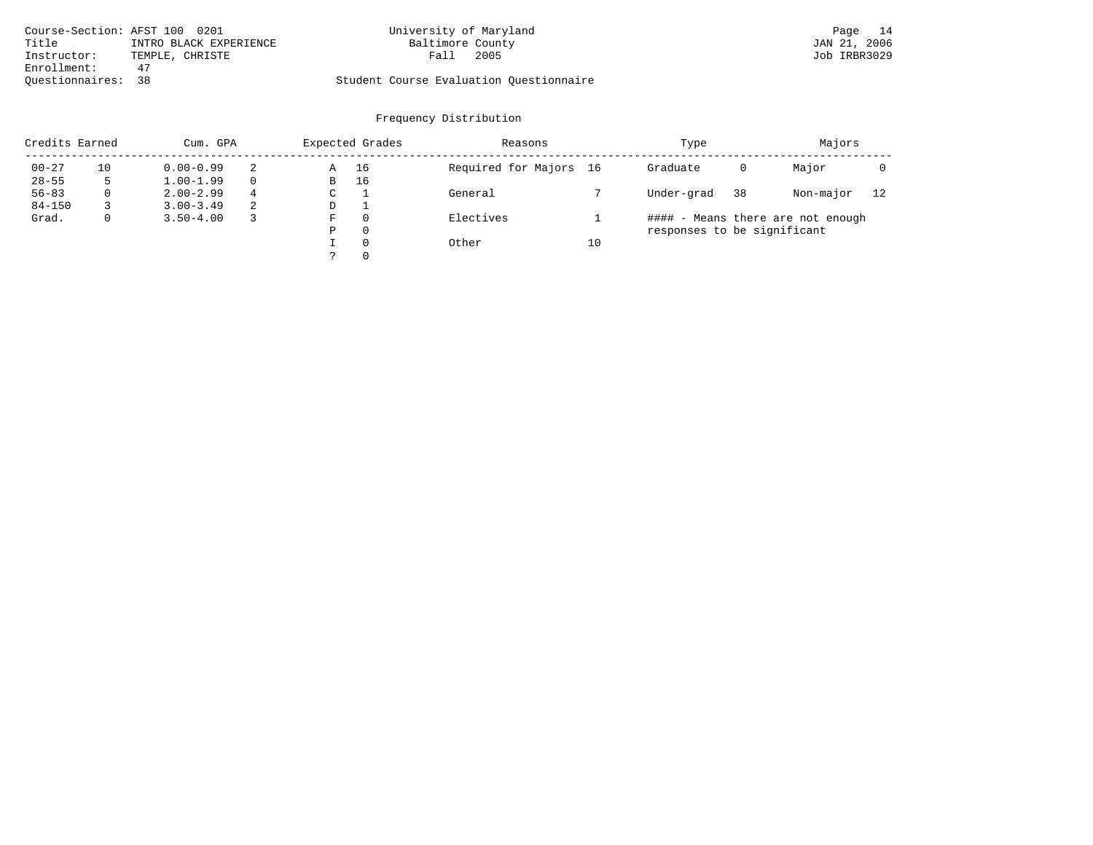|                    | Course-Section: AFST 100 0201 | University of Maryland                  | 14<br>Page   |
|--------------------|-------------------------------|-----------------------------------------|--------------|
| Title              | INTRO BLACK EXPERIENCE        | Baltimore County                        | JAN 21, 2006 |
| Instructor:        | TEMPLE, CHRISTE               | 2005<br>Fall                            | Job IRBR3029 |
| Enrollment:        | 47                            |                                         |              |
| Ouestionnaires: 38 |                               | Student Course Evaluation Ouestionnaire |              |

| Credits Earned |    | Cum. GPA      |   |             | Expected Grades | Reasons                |    | Type                        |    | Majors                            |    |
|----------------|----|---------------|---|-------------|-----------------|------------------------|----|-----------------------------|----|-----------------------------------|----|
| $00 - 27$      | 10 | $0.00 - 0.99$ | 2 | Α           | 16              | Required for Majors 16 |    | Graduate                    | 0  | Major                             |    |
| $28 - 55$      | 5  | $1.00 - 1.99$ |   | B           | 16              |                        |    |                             |    |                                   |    |
| $56 - 83$      | 0  | $2.00 - 2.99$ | 4 | $\sim$<br>◡ |                 | General                |    | Under-grad                  | 38 | Non-major                         | 12 |
| $84 - 150$     |    | $3.00 - 3.49$ | 2 | D           |                 |                        |    |                             |    |                                   |    |
| Grad.          | 0  | $3.50 - 4.00$ |   | F           | 0               | Electives              |    |                             |    | #### - Means there are not enough |    |
|                |    |               |   | Ρ           | 0               |                        |    | responses to be significant |    |                                   |    |
|                |    |               |   |             | $\Omega$        | Other                  | 10 |                             |    |                                   |    |
|                |    |               |   | っ           | 0               |                        |    |                             |    |                                   |    |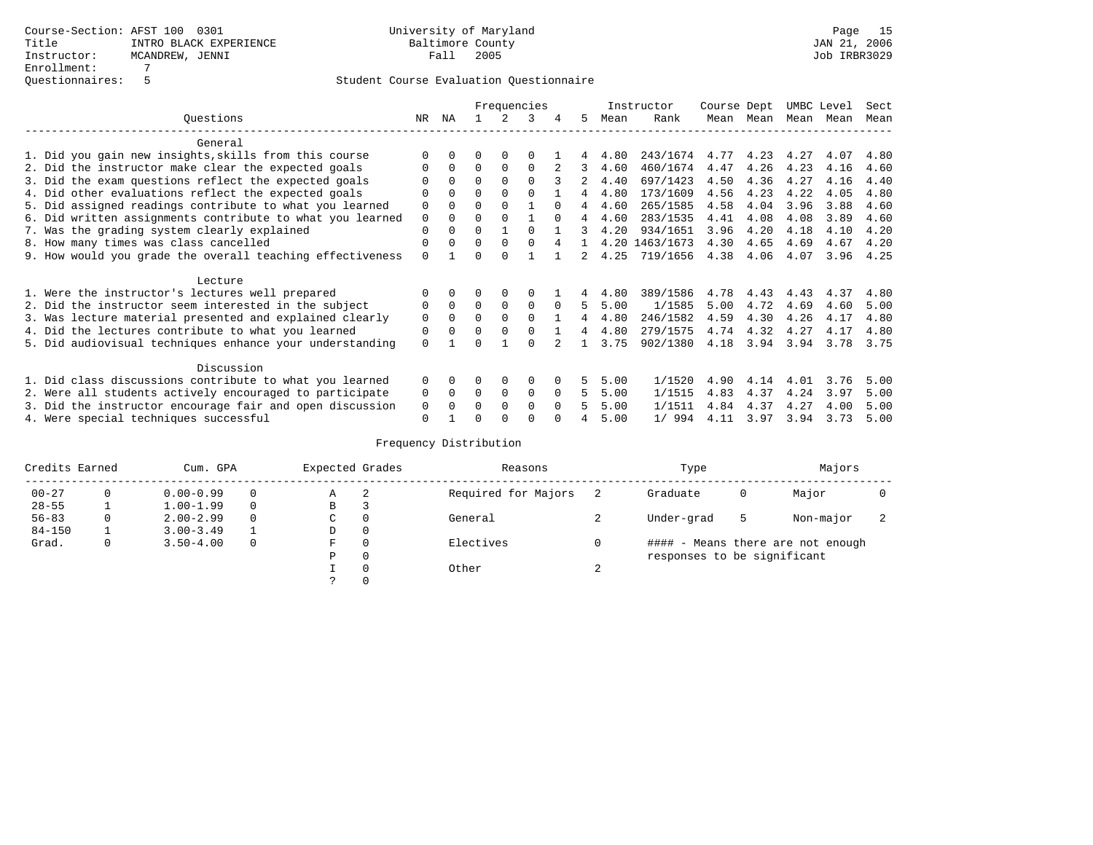|                                                           | Frequencies |          |          |             |             |          |    | Instructor | Course Dept    |      | UMBC Level |      | Sect |      |
|-----------------------------------------------------------|-------------|----------|----------|-------------|-------------|----------|----|------------|----------------|------|------------|------|------|------|
| Ouestions                                                 | NR.         | ΝA       |          |             | 3           |          | 5. | Mean       | Rank           | Mean | Mean       | Mean | Mean | Mean |
| General                                                   |             |          |          |             |             |          |    |            |                |      |            |      |      |      |
| 1. Did you gain new insights, skills from this course     |             | $\Omega$ | O        | $\Omega$    | $\Omega$    |          |    | 4.80       | 243/1674       | 4.77 | 4.23       | 4.27 | 4.07 | 4.80 |
| 2. Did the instructor make clear the expected goals       | O           | $\Omega$ | $\Omega$ | $\Omega$    | $\Omega$    |          | 3  | 4.60       | 460/1674       | 4.47 | 4.26       | 4.23 | 4.16 | 4.60 |
| 3. Did the exam questions reflect the expected goals      |             | $\Omega$ | 0        | $\Omega$    | $\Omega$    |          |    | 4.40       | 697/1423       | 4.50 | 4.36       | 4.27 | 4.16 | 4.40 |
| 4. Did other evaluations reflect the expected goals       | O           | $\Omega$ | $\Omega$ | $\Omega$    | $\Omega$    |          | 4  | 4.80       | 173/1609       | 4.56 | 4.23       | 4.22 | 4.05 | 4.80 |
| 5. Did assigned readings contribute to what you learned   | $\mathbf 0$ |          | $\Omega$ |             |             | $\Omega$ | 4  | 4.60       | 265/1585       | 4.58 | 4.04       | 3.96 | 3.88 | 4.60 |
| 6. Did written assignments contribute to what you learned | $\mathbf 0$ | $\Omega$ | $\Omega$ | $\Omega$    |             | $\cap$   | 4  | 4.60       | 283/1535       | 4.41 | 4.08       | 4.08 | 3.89 | 4.60 |
| 7. Was the grading system clearly explained               | $\Omega$    | $\Omega$ | $\Omega$ |             | $\Omega$    |          | 3  | 4.20       | 934/1651       | 3.96 | 4.20       | 4.18 | 4.10 | 4.20 |
| 8. How many times was class cancelled                     | 0           | $\Omega$ | $\Omega$ | $\Omega$    | $\Omega$    |          |    |            | 4.20 1463/1673 | 4.30 | 4.65       | 4.69 | 4.67 | 4.20 |
| 9. How would you grade the overall teaching effectiveness | $\Omega$    |          | U        | $\cap$      |             |          | 2  | 4.25       | 719/1656       | 4.38 | 4.06       | 4.07 | 3.96 | 4.25 |
| Lecture                                                   |             |          |          |             |             |          |    |            |                |      |            |      |      |      |
| 1. Were the instructor's lectures well prepared           | 0           |          |          |             | 0           |          |    | 4.80       | 389/1586       | 4.78 | 4.43       | 4.43 | 4.37 | 4.80 |
| 2. Did the instructor seem interested in the subject      | 0           | $\Omega$ | $\Omega$ | $\Omega$    | $\mathbf 0$ | $\Omega$ | 5  | 5.00       | 1/1585         | 5.00 | 4.72       | 4.69 | 4.60 | 5.00 |
| 3. Was lecture material presented and explained clearly   | $\mathbf 0$ | $\Omega$ | $\Omega$ | $\Omega$    | $\Omega$    |          | 4  | 4.80       | 246/1582       | 4.59 | 4.30       | 4.26 | 4.17 | 4.80 |
| 4. Did the lectures contribute to what you learned        | 0           | $\Omega$ | $\Omega$ | $\Omega$    | $\Omega$    |          | 4  | 4.80       | 279/1575       | 4.74 | 4.32       | 4.27 | 4.17 | 4.80 |
| 5. Did audiovisual techniques enhance your understanding  | $\Omega$    |          |          |             | $\cap$      |          |    | 3.75       | 902/1380       | 4.18 | 3.94       | 3.94 | 3.78 | 3.75 |
| Discussion                                                |             |          |          |             |             |          |    |            |                |      |            |      |      |      |
| 1. Did class discussions contribute to what you learned   | $\Omega$    | $\Omega$ | 0        | $\Omega$    | $\Omega$    |          | 5. | 5.00       | 1/1520         | 4.90 | 4.14       | 4.01 | 3.76 | 5.00 |
| 2. Were all students actively encouraged to participate   | 0           | $\Omega$ | $\Omega$ | $\mathbf 0$ | 0           | $\Omega$ | 5  | 5.00       | 1/1515         | 4.83 | 4.37       | 4.24 | 3.97 | 5.00 |
| 3. Did the instructor encourage fair and open discussion  | 0           |          | O        | $\Omega$    | $\Omega$    | $\Omega$ |    | 5.00       | 1/1511         | 4.84 | 4.37       | 4.27 | 4.00 | 5.00 |
| 4. Were special techniques successful                     | $\Omega$    |          |          |             |             |          |    | 5.00       | 1/994          | 4.11 | 3.97       | 3.94 | 3.73 | 5.00 |

| Credits Earned |          | Cum. GPA      | Expected Grades |          | Reasons             |        | Type                        |   | Majors                            |  |
|----------------|----------|---------------|-----------------|----------|---------------------|--------|-----------------------------|---|-----------------------------------|--|
| $00 - 27$      | $\Omega$ | $0.00 - 0.99$ | А               | -2       | Required for Majors |        | Graduate                    | 0 | Major                             |  |
| $28 - 55$      | ᅩ        | $1.00 - 1.99$ | В               | 3        |                     |        |                             |   |                                   |  |
| $56 - 83$      | 0        | $2.00 - 2.99$ | $\sim$<br>◡     | 0        | General             |        | Under-grad                  | 5 | Non-major                         |  |
| $84 - 150$     |          | $3.00 - 3.49$ | D               | 0        |                     |        |                             |   |                                   |  |
| Grad.          | 0        | $3.50 - 4.00$ | F               | 0        | Electives           | 0      |                             |   | #### - Means there are not enough |  |
|                |          |               | Ρ               | 0        |                     |        | responses to be significant |   |                                   |  |
|                |          |               |                 | $\Omega$ | Other               | $\sim$ |                             |   |                                   |  |
|                |          |               |                 |          |                     |        |                             |   |                                   |  |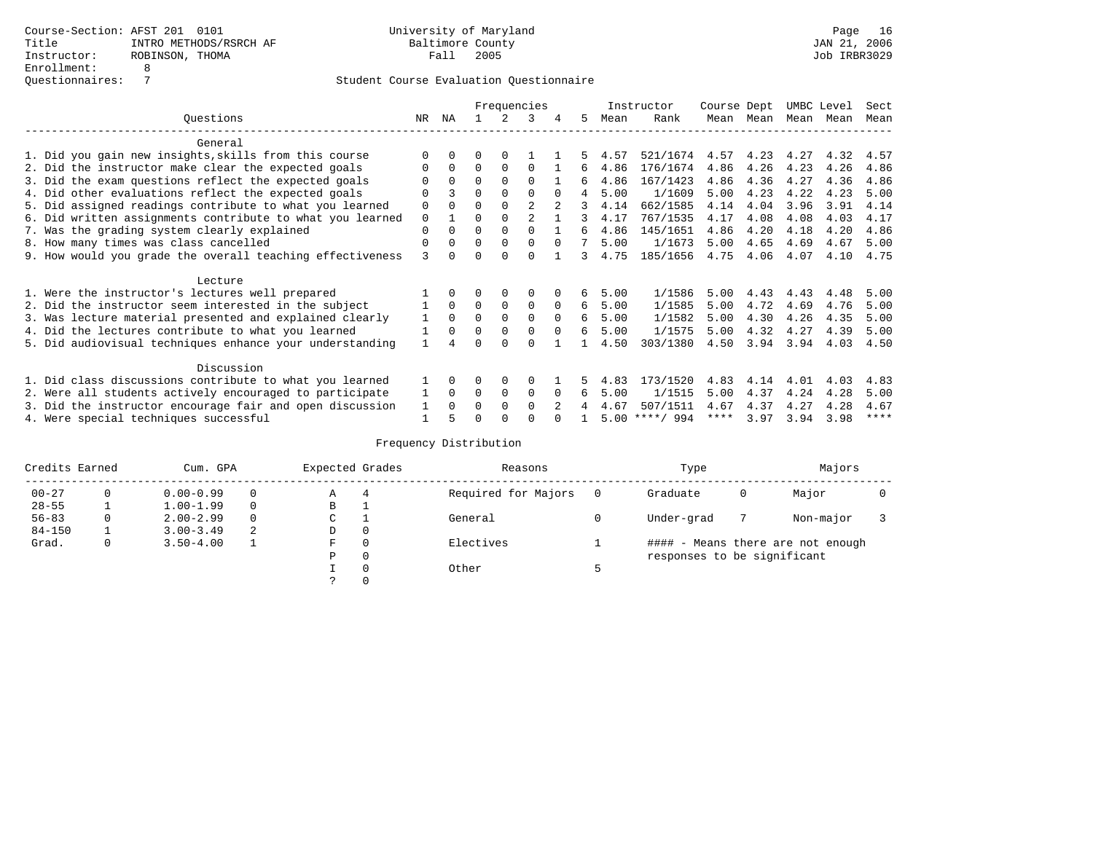|                                                           |             |              |          |             | Frequencies    |          |    |      | Instructor       | Course Dept |      | UMBC Level |      | Sect        |
|-----------------------------------------------------------|-------------|--------------|----------|-------------|----------------|----------|----|------|------------------|-------------|------|------------|------|-------------|
| Ouestions                                                 | NR.         | ΝA           |          |             | 3              | 4        | 5. | Mean | Rank             | Mean        | Mean | Mean       | Mean | Mean        |
| General                                                   |             |              |          |             |                |          |    |      |                  |             |      |            |      |             |
| 1. Did you gain new insights, skills from this course     |             | $\Omega$     | O        | $\Omega$    |                |          |    | 4.57 | 521/1674         | 4.57        | 4.23 | 4.27       | 4.32 | 4.57        |
| 2. Did the instructor make clear the expected goals       | O           | $\Omega$     | $\Omega$ | $\Omega$    | $\Omega$       |          | 6  | 4.86 | 176/1674         | 4.86        | 4.26 | 4.23       | 4.26 | 4.86        |
| 3. Did the exam questions reflect the expected goals      |             | $\Omega$     | $\Omega$ | $\Omega$    | $\Omega$       |          | б. | 4.86 | 167/1423         | 4.86        | 4.36 | 4.27       | 4.36 | 4.86        |
| 4. Did other evaluations reflect the expected goals       | O           |              | $\Omega$ | $\Omega$    | $\Omega$       |          | 4  | 5.00 | 1/1609           | 5.00        | 4.23 | 4.22       | 4.23 | 5.00        |
| 5. Did assigned readings contribute to what you learned   | $\mathbf 0$ |              |          |             | $\mathfrak{D}$ |          | 3  | 4.14 | 662/1585         | 4.14        | 4.04 | 3.96       | 3.91 | 4.14        |
| 6. Did written assignments contribute to what you learned | $\mathbf 0$ |              | $\Omega$ |             | $\mathfrak{D}$ |          | २  | 4.17 | 767/1535         | 4.17        | 4.08 | 4.08       | 4.03 | 4.17        |
| 7. Was the grading system clearly explained               | $\Omega$    | $\Omega$     | $\Omega$ | $\Omega$    | $\Omega$       |          | 6  | 4.86 | 145/1651         | 4.86        | 4.20 | 4.18       | 4.20 | 4.86        |
| 8. How many times was class cancelled                     | $\Omega$    | $\Omega$     | $\Omega$ | $\Omega$    | $\Omega$       | $\Omega$ | 7  | 5.00 | 1/1673           | 5.00        | 4.65 | 4.69       | 4.67 | 5.00        |
| 9. How would you grade the overall teaching effectiveness | 3           | <sup>n</sup> | U        | $\cap$      | $\cap$         |          | 3  | 4.75 | 185/1656         | 4.75        | 4.06 | 4.07       | 4.10 | 4.75        |
| Lecture                                                   |             |              |          |             |                |          |    |      |                  |             |      |            |      |             |
| 1. Were the instructor's lectures well prepared           |             |              |          |             | 0              |          | 6  | 5.00 | 1/1586           | 5.00        | 4.43 | 4.43       | 4.48 | 5.00        |
| 2. Did the instructor seem interested in the subject      |             | $\Omega$     | $\Omega$ | $\mathbf 0$ | $\mathbf 0$    | $\Omega$ | б. | 5.00 | 1/1585           | 5.00        | 4.72 | 4.69       | 4.76 | 5.00        |
| 3. Was lecture material presented and explained clearly   |             | $\Omega$     | $\Omega$ | $\Omega$    | $\Omega$       | $\Omega$ | б. | 5.00 | 1/1582           | 5.00        | 4.30 | 4.26       | 4.35 | 5.00        |
| 4. Did the lectures contribute to what you learned        |             | $\Omega$     | $\Omega$ | $\mathbf 0$ | $\mathbf 0$    | $\Omega$ | б. | 5.00 | 1/1575           | 5.00        | 4.32 | 4.27       | 4.39 | 5.00        |
| 5. Did audiovisual techniques enhance your understanding  |             |              |          |             | $\cap$         |          |    | 4.50 | 303/1380         | 4.50        | 3.94 | 3.94       | 4.03 | 4.50        |
|                                                           |             |              |          |             |                |          |    |      |                  |             |      |            |      |             |
| Discussion                                                |             |              |          |             |                |          |    |      |                  |             |      |            |      |             |
| 1. Did class discussions contribute to what you learned   |             | $\Omega$     | O        | $\Omega$    | $\Omega$       |          | 5. | 4.83 | 173/1520         | 4.83        | 4.14 | 4.01       | 4.03 | 4.83        |
| 2. Were all students actively encouraged to participate   |             | $\Omega$     | $\Omega$ | $\mathbf 0$ | 0              | $\Omega$ | 6  | 5.00 | 1/1515           | 5.00        | 4.37 | 4.24       | 4.28 | 5.00        |
| 3. Did the instructor encourage fair and open discussion  | 1           | $\Omega$     | 0        | $\Omega$    | $\Omega$       |          |    | 4.67 | 507/1511         | 4.67        | 4.37 | 4.27       | 4.28 | 4.67        |
| 4. Were special techniques successful                     |             |              |          |             |                |          |    |      | $5.00$ ****/ 994 | ****        | 3.97 | 3.94       | 3.98 | $***$ * * * |

| Credits Earned |          | Cum. GPA      |   | Expected Grades |          | Reasons             |   | Type                        |   | Majors                            |  |
|----------------|----------|---------------|---|-----------------|----------|---------------------|---|-----------------------------|---|-----------------------------------|--|
| $00 - 27$      | $\Omega$ | $0.00 - 0.99$ |   | А               | 4        | Required for Majors | 0 | Graduate                    | 0 | Major                             |  |
| $28 - 55$      | ᅩ        | $1.00 - 1.99$ |   | В               | ÷        |                     |   |                             |   |                                   |  |
| $56 - 83$      | 0        | $2.00 - 2.99$ |   | $\sim$<br>J     |          | General             |   | Under-grad                  |   | Non-major                         |  |
| $84 - 150$     |          | $3.00 - 3.49$ | 2 | D               | 0        |                     |   |                             |   |                                   |  |
| Grad.          | 0        | $3.50 - 4.00$ |   | F               | 0        | Electives           |   |                             |   | #### - Means there are not enough |  |
|                |          |               |   | Ρ               | 0        |                     |   | responses to be significant |   |                                   |  |
|                |          |               |   |                 | $\Omega$ | Other               |   |                             |   |                                   |  |
|                |          |               |   |                 |          |                     |   |                             |   |                                   |  |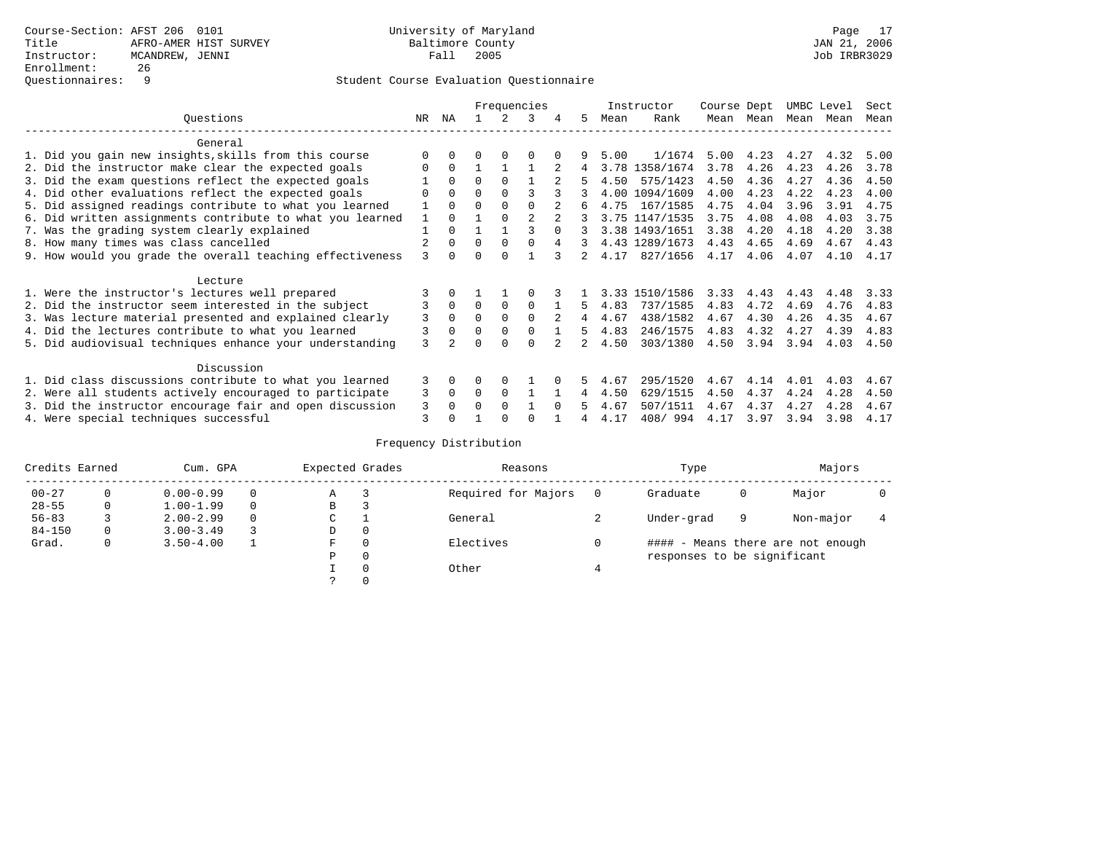|                                                           |               |          |          |          | Frequencies    |          |    |      | Instructor     | Course Dept |           |      | UMBC Level | Sect |
|-----------------------------------------------------------|---------------|----------|----------|----------|----------------|----------|----|------|----------------|-------------|-----------|------|------------|------|
| Ouestions                                                 | NR            | ΝA       |          |          | 3              | 4        | 5. | Mean | Rank           |             | Mean Mean | Mean | Mean       | Mean |
| General                                                   |               |          |          |          |                |          |    |      |                |             |           |      |            |      |
| 1. Did you gain new insights, skills from this course     |               | $\Omega$ | 0        | $\Omega$ | O              |          |    | 5.00 | 1/1674         | 5.00        | 4.23      | 4.27 | 4.32       | 5.00 |
| 2. Did the instructor make clear the expected goals       | O             | $\Omega$ |          |          |                |          |    |      | 3.78 1358/1674 | 3.78        | 4.26      | 4.23 | 4.26       | 3.78 |
| 3. Did the exam questions reflect the expected goals      |               | $\Omega$ | $\Omega$ | $\Omega$ |                |          | 5  | 4.50 | 575/1423       | 4.50        | 4.36      | 4.27 | 4.36       | 4.50 |
| 4. Did other evaluations reflect the expected goals       |               | $\Omega$ | O        | $\Omega$ | ζ              |          |    |      | 4.00 1094/1609 | 4.00        | 4.23      | 4.22 | 4.23       | 4.00 |
| 5. Did assigned readings contribute to what you learned   |               | $\Omega$ | O        | $\Omega$ | $\Omega$       |          | 6  | 4.75 | 167/1585       | 4.75        | 4.04      | 3.96 | 3.91       | 4.75 |
| 6. Did written assignments contribute to what you learned |               | $\Omega$ |          | $\Omega$ | $\mathfrak{D}$ |          |    |      | 3.75 1147/1535 | 3.75        | 4.08      | 4.08 | 4.03       | 3.75 |
| 7. Was the grading system clearly explained               |               | $\Omega$ |          |          |                | $\cap$   |    |      | 3.38 1493/1651 | 3.38        | 4.20      | 4.18 | 4.20       | 3.38 |
| 8. How many times was class cancelled                     |               | $\Omega$ | $\Omega$ | $\Omega$ | $\Omega$       | 4        |    |      | 4.43 1289/1673 | 4.43        | 4.65      | 4.69 | 4.67       | 4.43 |
| 9. How would you grade the overall teaching effectiveness | ζ             | $\cap$   |          |          |                |          |    | 4.17 | 827/1656       | 4.17        | 4.06      | 4.07 | 4.10       | 4.17 |
| Lecture                                                   |               |          |          |          |                |          |    |      |                |             |           |      |            |      |
| 1. Were the instructor's lectures well prepared           |               |          |          |          |                |          |    |      | 3.33 1510/1586 | 3.33        | 4.43      | 4.43 | 4.48       | 3.33 |
| 2. Did the instructor seem interested in the subject      | 3             | $\Omega$ | $\Omega$ | $\Omega$ | $\Omega$       |          | 5. | 4.83 | 737/1585       | 4.83        | 4.72      | 4.69 | 4.76       | 4.83 |
| 3. Was lecture material presented and explained clearly   | 3             | $\Omega$ | $\Omega$ | $\Omega$ | $\Omega$       |          | 4  | 4.67 | 438/1582       | 4.67        | 4.30      | 4.26 | 4.35       | 4.67 |
| 4. Did the lectures contribute to what you learned        | 3             | $\Omega$ | 0        | $\Omega$ | $\Omega$       |          | 5  | 4.83 | 246/1575       | 4.83        | 4.32      | 4.27 | 4.39       | 4.83 |
| 5. Did audiovisual techniques enhance your understanding  | $\mathcal{L}$ |          |          |          |                |          |    | 4.50 | 303/1380       | 4.50        | 3.94      | 3.94 | 4.03       | 4.50 |
| Discussion                                                |               |          |          |          |                |          |    |      |                |             |           |      |            |      |
| 1. Did class discussions contribute to what you learned   |               |          | O        | $\Omega$ |                |          |    | 4.67 | 295/1520       | 4.67        | 4.14      | 4.01 | 4.03       | 4.67 |
| 2. Were all students actively encouraged to participate   |               |          | $\Omega$ | $\Omega$ |                |          | 4  | 4.50 | 629/1515       | 4.50        | 4.37      | 4.24 | 4.28       | 4.50 |
| 3. Did the instructor encourage fair and open discussion  | 3             |          | U        | $\Omega$ |                | $\Omega$ |    | 4.67 | 507/1511       | 4.67        | 4.37      | 4.27 | 4.28       | 4.67 |
| 4. Were special techniques successful                     | 3             |          |          |          |                |          |    | 4.17 | 408/994        | 4.17        | 3.97      | 3.94 | 3.98       | 4.17 |

| Credits Earned |          | Cum. GPA      | Expected Grades |          | Reasons             |   | Type                        |   | Majors                            |  |
|----------------|----------|---------------|-----------------|----------|---------------------|---|-----------------------------|---|-----------------------------------|--|
| $00 - 27$      | $\Omega$ | $0.00 - 0.99$ | Α               |          | Required for Majors | 0 | Graduate                    | 0 | Major                             |  |
| $28 - 55$      | 0        | $1.00 - 1.99$ | В               | 3        |                     |   |                             |   |                                   |  |
| $56 - 83$      |          | $2.00 - 2.99$ | $\sim$<br>J     |          | General             |   | Under-grad                  | 9 | Non-major                         |  |
| $84 - 150$     | 0        | $3.00 - 3.49$ | D               | 0        |                     |   |                             |   |                                   |  |
| Grad.          | 0        | $3.50 - 4.00$ | F               | 0        | Electives           | 0 |                             |   | #### - Means there are not enough |  |
|                |          |               | Ρ               | 0        |                     |   | responses to be significant |   |                                   |  |
|                |          |               |                 | $\Omega$ | Other               |   |                             |   |                                   |  |
|                |          |               |                 |          |                     |   |                             |   |                                   |  |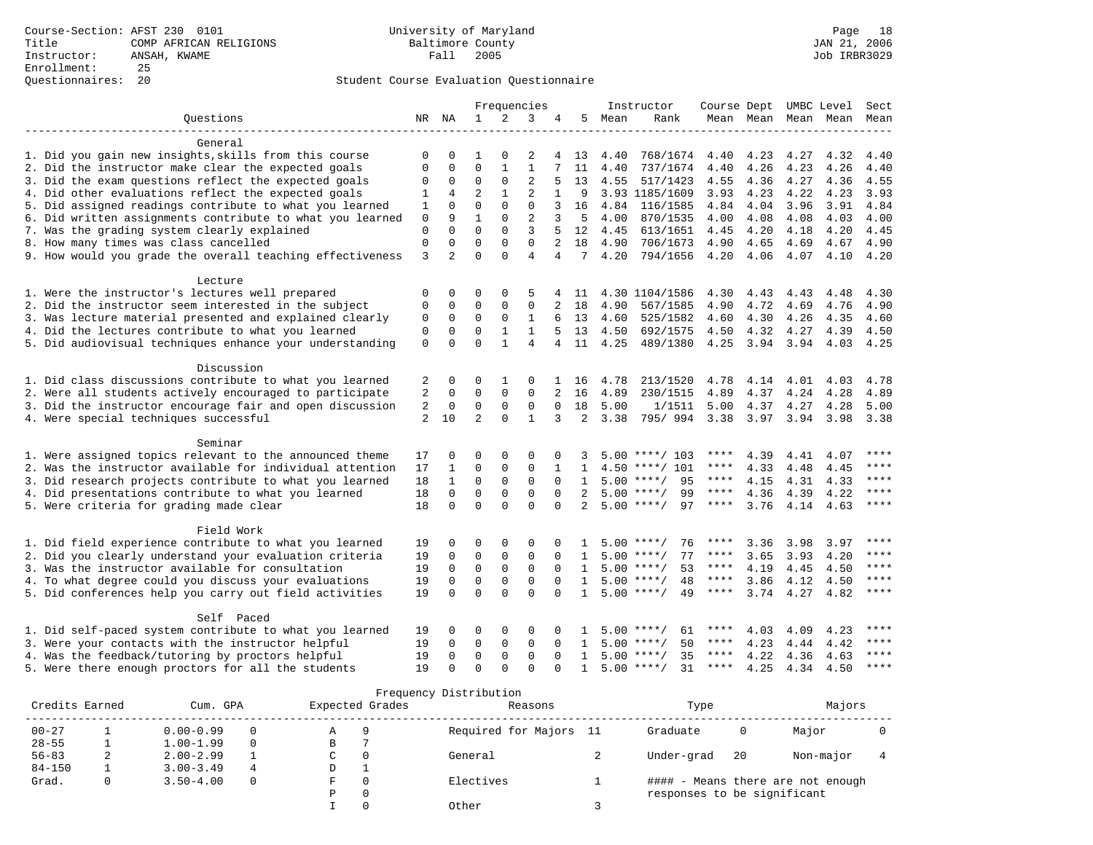|                                                           |              |                         |                  |                   | Frequencies                |                |                 |      | Instructor               | Course Dept UMBC Level |                     |      |              | Sect      |
|-----------------------------------------------------------|--------------|-------------------------|------------------|-------------------|----------------------------|----------------|-----------------|------|--------------------------|------------------------|---------------------|------|--------------|-----------|
| Ouestions                                                 |              | NR NA                   | $\mathbf{1}$     | $\mathfrak{D}$    | 3                          | 4              | .5              | Mean | Rank                     |                        | Mean Mean Mean Mean |      |              | Mean      |
|                                                           |              |                         |                  |                   |                            |                |                 |      |                          |                        |                     |      |              |           |
| General                                                   |              |                         |                  |                   |                            |                |                 |      |                          |                        |                     |      |              |           |
| 1. Did you gain new insights, skills from this course     | 0            | 0                       |                  | 0                 | 2                          | 4              | 13              | 4.40 | 768/1674                 | 4.40                   | 4.23                | 4.27 | 4.32         | 4.40      |
| 2. Did the instructor make clear the expected goals       | $\mathbf 0$  | $\mathbf 0$             | $\mathbf 0$      | $\mathbf 1$       | $\mathbf{1}$               |                | 11              | 4.40 | 737/1674                 | 4.40                   | 4.26                | 4.23 | 4.26         | 4.40      |
| 3. Did the exam questions reflect the expected goals      | 0            | $\mathbf 0$             | $\mathbf 0$      | $\mathbf{0}$      | $\overline{2}$             | 5              | 13              | 4.55 | 517/1423                 | 4.55                   | 4.36                | 4.27 | 4.36         | 4.55      |
| 4. Did other evaluations reflect the expected goals       | 1            | 4                       | $\overline{2}$   | $\mathbf{1}$      | $\overline{2}$             | $\mathbf{1}$   | 9               |      | 3.93 1185/1609           | 3.93                   | 4.23                | 4.22 | 4.23         | 3.93      |
| 5. Did assigned readings contribute to what you learned   | 1            | $\Omega$                | $\Omega$         | $\Omega$          | $\Omega$                   | 3              | 16              | 4.84 | 116/1585                 | 4.84                   | 4.04                | 3.96 | 3.91         | 4.84      |
| 6. Did written assignments contribute to what you learned | $\mathbf 0$  | 9                       | $\mathbf{1}$     | $\Omega$          | $\overline{2}$             | 3              | 5               | 4.00 | 870/1535                 | 4.00                   | 4.08                | 4.08 | 4.03         | 4.00      |
| 7. Was the grading system clearly explained               | $\mathbf 0$  | $\Omega$                | $\Omega$         | $\Omega$          | 3                          |                | 12              | 4.45 | 613/1651                 | 4.45                   | 4.20                | 4.18 | 4.20         | 4.45      |
| 8. How many times was class cancelled                     | $\mathbf{0}$ | $\mathbf 0$             | $\mathbf 0$      | $\Omega$          | $\Omega$                   | $\overline{2}$ | 18              | 4.90 | 706/1673                 | 4.90                   | 4.65                | 4.69 | 4.67         | 4.90      |
| 9. How would you grade the overall teaching effectiveness | 3            | $\overline{2}$          | $\Omega$         | $\Omega$          | $\overline{4}$             | $\overline{4}$ | $7\overline{ }$ | 4.20 | 794/1656                 | 4.20                   | 4.06                | 4.07 | 4.10         | 4.20      |
| Lecture                                                   |              |                         |                  |                   |                            |                |                 |      |                          |                        |                     |      |              |           |
| 1. Were the instructor's lectures well prepared           | 0            | 0                       | 0                | 0                 | 5                          |                | -11             |      | 4.30 1104/1586           | 4.30                   | 4.43                | 4.43 | 4.48         | 4.30      |
| 2. Did the instructor seem interested in the subject      | $\mathbf 0$  | 0                       | 0                | 0                 | $\mathbf{0}$               | 2              | 18              | 4.90 | 567/1585                 | 4.90                   | 4.72                | 4.69 | 4.76         | 4.90      |
| 3. Was lecture material presented and explained clearly   | $\mathbf 0$  | $\mathbf 0$             | $\mathbf 0$      | $\mathbf 0$       | 1                          | 6              | 13              | 4.60 | 525/1582                 | 4.60                   | 4.30                | 4.26 | 4.35         | 4.60      |
| 4. Did the lectures contribute to what you learned        | $\mathbf 0$  | $\mathbf 0$             | $\mathbf 0$      | $\mathbf{1}$      | $\mathbf{1}$               | 5              | 13              | 4.50 | 692/1575                 | 4.50                   | 4.32                | 4.27 | 4.39         | 4.50      |
| 5. Did audiovisual techniques enhance your understanding  | $\mathbf 0$  | $\Omega$                | $\Omega$         | $\mathbf{1}$      | 4                          | 4              | 11              | 4.25 | 489/1380                 | 4.25                   | 3.94 3.94           |      | 4.03         | 4.25      |
|                                                           |              |                         |                  |                   |                            |                |                 |      |                          |                        |                     |      |              |           |
| Discussion                                                |              |                         |                  |                   |                            |                |                 |      |                          |                        |                     |      |              |           |
| 1. Did class discussions contribute to what you learned   | 2            | 0                       | 0                | $\mathbf{1}$      | $\Omega$                   |                | 16              | 4.78 | 213/1520                 | 4.78                   | 4.14                | 4.01 | 4.03         | 4.78      |
| 2. Were all students actively encouraged to participate   | 2            | $\Omega$                | $\mathbf 0$      | $\mathbf 0$       | 0                          |                | 16              | 4.89 | 230/1515                 | 4.89                   | 4.37                | 4.24 | 4.28         | 4.89      |
| 3. Did the instructor encourage fair and open discussion  | 2            | $\mathbf{0}$            | $\mathbf 0$      | $\mathbf{0}$      | $\mathbf 0$                | $\Omega$       | 18              | 5.00 | 1/1511                   | 5.00                   | 4.37                | 4.27 | 4.28         | 5.00      |
| 4. Were special techniques successful                     | 2            | 10                      | 2                | $\Omega$          | $\mathbf{1}$               | 3              | 2               | 3.38 | 795/994 3.38             |                        | 3.97 3.94           |      | 3.98         | 3.38      |
| Seminar                                                   |              |                         |                  |                   |                            |                |                 |      |                          |                        |                     |      |              |           |
| 1. Were assigned topics relevant to the announced theme   | 17           | $\Omega$                | $\Omega$         | $\Omega$          | $\Omega$                   | $\Omega$       |                 |      | $5.00$ ****/ 103         | ****                   | 4.39                | 4.41 |              | ****      |
| 2. Was the instructor available for individual attention  | 17           | $\mathbf{1}$            | $\Omega$         | $\mathbf{0}$      | $\Omega$                   | $\mathbf{1}$   | $\mathbf{1}$    |      | $4.50$ ****/ 101         | $***$ * * *            | 4.33                | 4.48 | 4.07<br>4.45 | $***$     |
| 3. Did research projects contribute to what you learned   | 18           | $\mathbf{1}$            | $\mathbf 0$      | $\mathbf{0}$      | $\mathbf 0$                | $\Omega$       | $\mathbf{1}$    |      | $5.00$ ****/<br>95       | ****                   | 4.15                | 4.31 | 4.33         | $***$     |
| 4. Did presentations contribute to what you learned       | 18           | $\mathbf 0$             | $\mathbf 0$      | $\mathbf{0}$      | $\mathbf 0$                | $\Omega$       | 2               |      | $5.00$ ****/<br>99       | $***$ * * *            | 4.36                | 4.39 | 4.22         | ****      |
|                                                           | 18           | $\Omega$                | $\Omega$         | $\Omega$          | $\Omega$                   | $\Omega$       | $2^{\circ}$     |      | $5.00$ ****/<br>97       | ****                   | 3.76                | 4.14 | 4.63         | ****      |
| 5. Were criteria for grading made clear                   |              |                         |                  |                   |                            |                |                 |      |                          |                        |                     |      |              |           |
| Field Work                                                |              |                         |                  |                   |                            |                |                 |      |                          |                        |                     |      |              |           |
| 1. Did field experience contribute to what you learned    | 19           | $\mathbf 0$             | 0                | 0                 | $\Omega$                   |                |                 |      | 76<br>$5.00$ ****/       | ****                   | 3.36                | 3.98 | 3.97         | $***$     |
| 2. Did you clearly understand your evaluation criteria    | 19           | $\mathbf 0$             | 0                | 0                 | 0                          | 0              |                 |      | 77<br>$5.00$ ****/       | ****                   | 3.65                | 3.93 | 4.20         | ****      |
| 3. Was the instructor available for consultation          | 19           | $\mathbf 0$             | $\mathbf 0$      | $\mathbf{0}$      | $\mathbf 0$                | $\Omega$       | 1               |      | 53<br>$5.00$ ****/       | $***$ * * *            | 4.19                | 4.45 | 4.50         | ****      |
| 4. To what degree could you discuss your evaluations      | 19           | $\mathbf{0}$            | $\mathbf 0$      | $\mathbf 0$       | $\mathbf 0$                | $\Omega$       | $\mathbf{1}$    |      | $5.00$ ****/<br>48       | $***$ * *              | 3.86                | 4.12 | 4.50         | ****      |
| 5. Did conferences help you carry out field activities    | 19           | $\Omega$                | $\Omega$         | $\Omega$          | $\Omega$                   | $\Omega$       | $\mathbf{1}$    |      | $5.00$ ****/<br>49       | $***$ * * *            | 3.74                | 4.27 | 4.82         | $* * * *$ |
| Self Paced                                                |              |                         |                  |                   |                            |                |                 |      |                          |                        |                     |      |              |           |
| 1. Did self-paced system contribute to what you learned   |              | 0                       | 0                | 0                 | $\Omega$                   |                |                 |      | $5.00$ ****/<br>61       | ****                   |                     |      |              | ****      |
|                                                           | 19           |                         |                  |                   |                            |                |                 |      |                          | ****                   | 4.03                | 4.09 | 4.23         | ****      |
| 3. Were your contacts with the instructor helpful         | 19           | $\mathbf 0$<br>$\Omega$ | 0<br>$\mathbf 0$ | 0<br>$\mathbf{0}$ | $\mathbf 0$<br>$\mathbf 0$ | 0<br>$\Omega$  | 1               |      | $5.00$ ****/<br>50<br>35 | ****                   | 4.23                | 4.44 | 4.42         | ****      |
| 4. Was the feedback/tutoring by proctors helpful          | 19           | $\Omega$                | $\Omega$         | $\Omega$          | $\Omega$                   |                | $\mathbf{1}$    |      | $5.00$ ****/<br>31       | ****                   | 4.22                | 4.36 | 4.63         | $* * * *$ |
| 5. Were there enough proctors for all the students        | 19           |                         |                  |                   |                            |                | $\mathbf{1}$    |      | $5.00$ ****/             |                        | 4.25                | 4.34 | 4.50         |           |

|                |   |               |          |   |                 | Frequency Distribution |                             |    |                                   |  |
|----------------|---|---------------|----------|---|-----------------|------------------------|-----------------------------|----|-----------------------------------|--|
| Credits Earned |   | Cum. GPA      |          |   | Expected Grades | Reasons                | Type                        |    | Majors                            |  |
| $00 - 27$      |   | $0.00 - 0.99$ |          | Α | 9               | Required for Majors 11 | Graduate                    | 0  | Major                             |  |
| $28 - 55$      |   | $1.00 - 1.99$ | $\Omega$ | В |                 |                        |                             |    |                                   |  |
| $56 - 83$      | ∠ | $2.00 - 2.99$ |          | C | $\Omega$        | General                | Under-grad                  | 20 | Non-major                         |  |
| $84 - 150$     |   | $3.00 - 3.49$ |          | D |                 |                        |                             |    |                                   |  |
| Grad.          |   | $3.50 - 4.00$ | $\Omega$ | F | - 0             | Electives              |                             |    | #### - Means there are not enough |  |
|                |   |               |          | P | 0               |                        | responses to be significant |    |                                   |  |
|                |   |               |          |   |                 | Other                  |                             |    |                                   |  |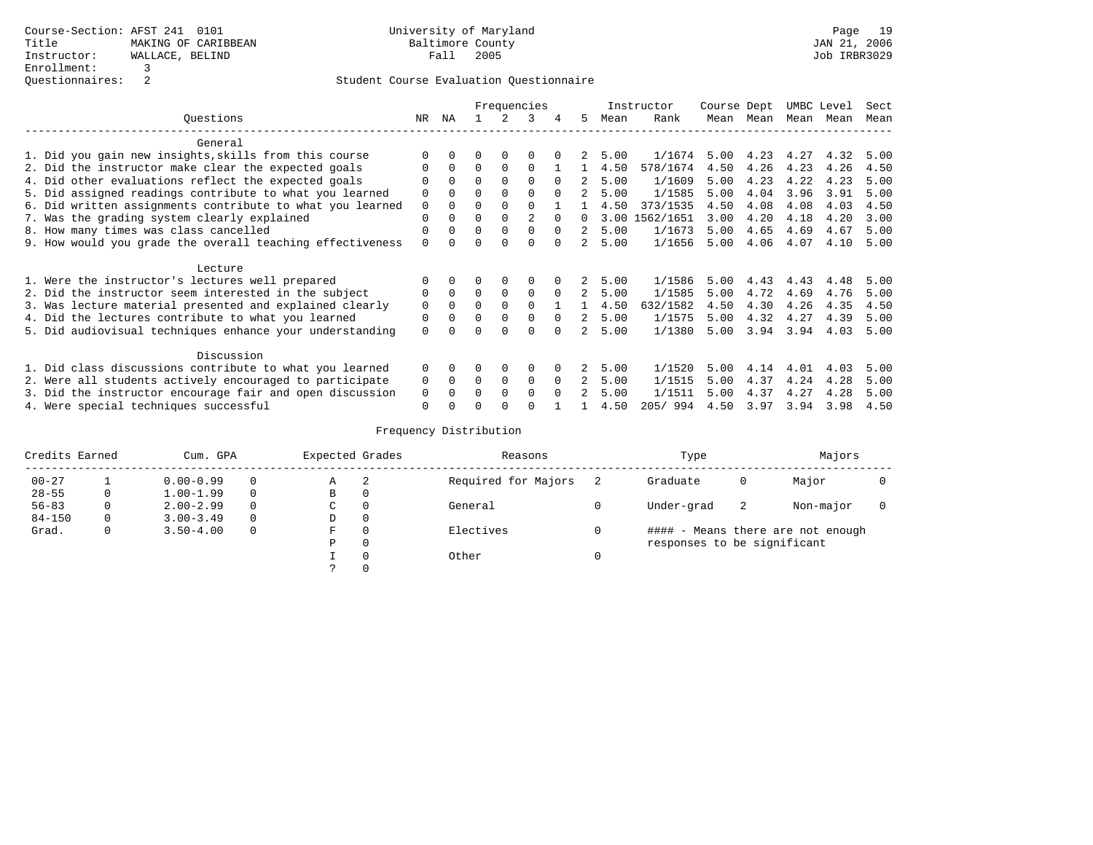|                                                           | Frequencies |          |          |          |              |              |    | Instructor | Course Dept |      |      | UMBC Level | Sect |      |
|-----------------------------------------------------------|-------------|----------|----------|----------|--------------|--------------|----|------------|-------------|------|------|------------|------|------|
| Ouestions                                                 | NR          | ΝA       |          |          | ર            |              | 5. | Mean       | Rank        | Mean | Mean | Mean       | Mean | Mean |
| General                                                   |             |          |          |          |              |              |    |            |             |      |      |            |      |      |
| 1. Did you gain new insights, skills from this course     |             |          |          |          |              |              |    | 5.00       | 1/1674      | 5.00 |      | 4.23 4.27  | 4.32 | 5.00 |
| 2. Did the instructor make clear the expected goals       |             |          | $\Omega$ |          | $\Omega$     |              |    | 4.50       | 578/1674    | 4.50 | 4.26 | 4.23       | 4.26 | 4.50 |
| 4. Did other evaluations reflect the expected goals       |             | $\cap$   | $\Omega$ |          |              |              | 2  | 5.00       | 1/1609      | 5.00 | 4.23 | 4.22       | 4.23 | 5.00 |
| 5. Did assigned readings contribute to what you learned   |             |          |          |          |              |              |    | 5.00       | 1/1585      | 5.00 | 4.04 | 3.96       | 3.91 | 5.00 |
| 6. Did written assignments contribute to what you learned | $\Omega$    |          |          |          |              |              |    | 4.50       | 373/1535    | 4.50 | 4.08 | 4.08       | 4.03 | 4.50 |
| 7. Was the grading system clearly explained               | $\Omega$    |          |          |          |              |              |    | 3.00       | 1562/1651   | 3.00 | 4.20 | 4.18       | 4.20 | 3.00 |
| 8. How many times was class cancelled                     | $\Omega$    |          | $\Omega$ | $\Omega$ |              | $\cap$       | 2  | 5.00       | 1/1673      | 5.00 | 4.65 | 4.69       | 4.67 | 5.00 |
| 9. How would you grade the overall teaching effectiveness | $\cap$      |          |          |          |              |              |    | 5.00       | 1/1656      | 5.00 | 4.06 | 4.07       | 4.10 | 5.00 |
| Lecture                                                   |             |          |          |          |              |              |    |            |             |      |      |            |      |      |
| 1. Were the instructor's lectures well prepared           |             |          |          |          |              |              | 2  | 5.00       | 1/1586      | 5.00 | 4.43 | 4.43       | 4.48 | 5.00 |
| 2. Did the instructor seem interested in the subject      | O           | $\Omega$ | $\Omega$ | $\Omega$ | $\Omega$     | $\Omega$     | 2  | 5.00       | 1/1585      | 5.00 | 4.72 | 4.69       | 4.76 | 5.00 |
| 3. Was lecture material presented and explained clearly   | $\Omega$    | $\Omega$ | $\Omega$ | $\Omega$ | $\Omega$     |              |    | 4.50       | 632/1582    | 4.50 | 4.30 | 4.26       | 4.35 | 4.50 |
| 4. Did the lectures contribute to what you learned        | $\Omega$    |          | $\cap$   | $\Omega$ | $\Omega$     | $\Omega$     |    | 5.00       | 1/1575      | 5.00 | 4.32 | 4.27       | 4.39 | 5.00 |
| 5. Did audiovisual techniques enhance your understanding  | $\Omega$    |          |          |          | <sup>n</sup> |              |    | 5.00       | 1/1380      | 5.00 | 3.94 | 3.94       | 4.03 | 5.00 |
| Discussion                                                |             |          |          |          |              |              |    |            |             |      |      |            |      |      |
| 1. Did class discussions contribute to what you learned   | $\Omega$    | 0        | 0        | $\Omega$ | $\Omega$     |              | 2  | 5.00       | 1/1520      | 5.00 | 4.14 | 4.01       | 4.03 | 5.00 |
| 2. Were all students actively encouraged to participate   | $\Omega$    | $\Omega$ | $\Omega$ | $\Omega$ | $\Omega$     | $\Omega$     | 2  | 5.00       | 1/1515      | 5.00 | 4.37 | 4.24       | 4.28 | 5.00 |
| 3. Did the instructor encourage fair and open discussion  |             |          | $\cap$   | $\Omega$ | $\Omega$     | <sup>n</sup> |    | 5.00       | 1/1511      | 5.00 | 4.37 | 4.27       | 4.28 | 5.00 |
| 4. Were special techniques successful                     | $\Omega$    |          |          |          |              |              |    | 4.50       | 205/994     | 4.50 | 3.97 | 3.94       | 3.98 | 4.50 |

| Credits Earned |          | Cum. GPA      |          | Expected Grades |          | Reasons             | Type                        |    | Majors                            |  |
|----------------|----------|---------------|----------|-----------------|----------|---------------------|-----------------------------|----|-----------------------------------|--|
| $00 - 27$      |          | $0.00 - 0.99$ | $\Omega$ | Α               | -2       | Required for Majors | Graduate                    | 0  | Major                             |  |
| $28 - 55$      | $\Omega$ | $1.00 - 1.99$ | $\Omega$ | B               | 0        |                     |                             |    |                                   |  |
| $56 - 83$      | $\Omega$ | $2.00 - 2.99$ | $\Omega$ | C               | 0        | General             | Under-grad                  | -2 | Non-major                         |  |
| $84 - 150$     | 0        | $3.00 - 3.49$ | $\Omega$ | D               | 0        |                     |                             |    |                                   |  |
| Grad.          | $\Omega$ | $3.50 - 4.00$ | $\Omega$ | F               | $\Omega$ | Electives           |                             |    | #### - Means there are not enough |  |
|                |          |               |          | P               | $\Omega$ |                     | responses to be significant |    |                                   |  |
|                |          |               |          |                 | $\Omega$ | Other               |                             |    |                                   |  |
|                |          |               |          |                 |          |                     |                             |    |                                   |  |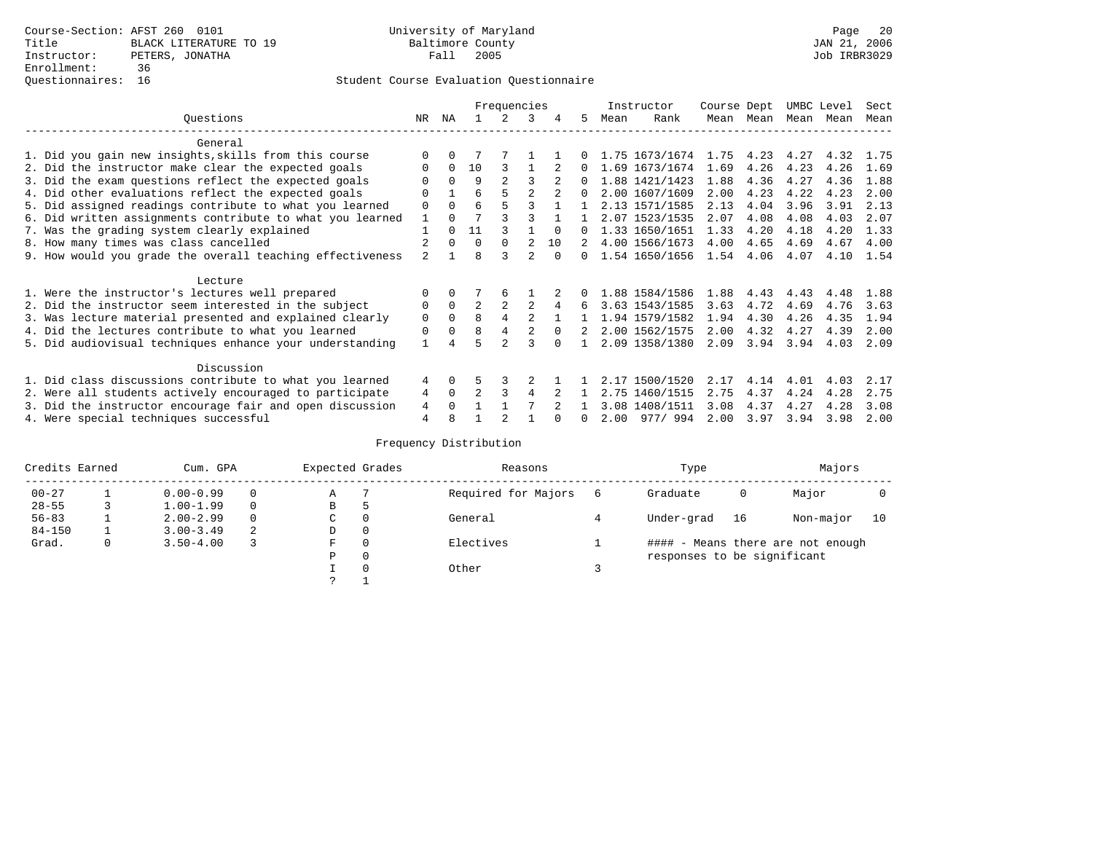|                                                           |                |          |                | Frequencies |   |          |              |      | Instructor     | Course Dept |           | UMBC Level |      | Sect |
|-----------------------------------------------------------|----------------|----------|----------------|-------------|---|----------|--------------|------|----------------|-------------|-----------|------------|------|------|
| Ouestions                                                 | NR.            | ΝA       |                |             | 3 |          | 5.           | Mean | Rank           |             | Mean Mean | Mean       | Mean | Mean |
| General                                                   |                |          |                |             |   |          |              |      |                |             |           |            |      |      |
| 1. Did you gain new insights, skills from this course     |                |          |                |             |   |          |              |      | 1.75 1673/1674 | 1.75        | 4.23      | 4.27       | 4.32 | 1.75 |
| 2. Did the instructor make clear the expected goals       | O              | $\Omega$ | 10             | 3           |   |          | $\Omega$     |      | 1.69 1673/1674 | 1.69        | 4.26      | 4.23       | 4.26 | 1.69 |
| 3. Did the exam questions reflect the expected goals      |                | $\Omega$ | 9              |             | ς |          |              |      | 1.88 1421/1423 | 1.88        | 4.36      | 4.27       | 4.36 | 1.88 |
| 4. Did other evaluations reflect the expected goals       | $\Omega$       |          | 6              |             |   |          | $\cap$       |      | 2.00 1607/1609 | 2.00        | 4.23      | 4.22       | 4.23 | 2.00 |
| 5. Did assigned readings contribute to what you learned   | $\mathbf 0$    | $\Omega$ | 6              |             | ς |          |              |      | 2.13 1571/1585 | 2.13        | 4.04      | 3.96       | 3.91 | 2.13 |
| 6. Did written assignments contribute to what you learned | $\mathbf{1}$   | $\Omega$ |                |             |   |          |              |      | 2.07 1523/1535 | 2.07        | 4.08      | 4.08       | 4.03 | 2.07 |
| 7. Was the grading system clearly explained               |                | $\Omega$ | 11             |             |   | $\cap$   |              |      | 1.33 1650/1651 | 1.33        | 4.20      | 4.18       | 4.20 | 1.33 |
| 8. How many times was class cancelled                     |                | $\Omega$ | $\Omega$       | $\Omega$    |   | 10       |              |      | 4.00 1566/1673 | 4.00        | 4.65      | 4.69       | 4.67 | 4.00 |
| 9. How would you grade the overall teaching effectiveness | $\mathfrak{D}$ |          | R              |             |   | $\cap$   |              |      | 1.54 1650/1656 | 1.54        | 4.06      | 4.07       | 4.10 | 1.54 |
| Lecture                                                   |                |          |                |             |   |          |              |      |                |             |           |            |      |      |
| 1. Were the instructor's lectures well prepared           | $\Omega$       |          |                | 6           |   |          |              |      | 1.88 1584/1586 | 1.88        | 4.43      | 4.43       | 4.48 | 1.88 |
| 2. Did the instructor seem interested in the subject      | 0              | $\Omega$ | $\overline{a}$ |             |   | 4        | б.           |      | 3.63 1543/1585 | 3.63        | 4.72      | 4.69       | 4.76 | 3.63 |
| 3. Was lecture material presented and explained clearly   | 0              | $\Omega$ | 8              | 4           | 2 |          |              |      | 1.94 1579/1582 | 1.94        | 4.30      | 4.26       | 4.35 | 1.94 |
| 4. Did the lectures contribute to what you learned        | 0              | $\Omega$ | 8              |             |   | $\Omega$ |              |      | 2.00 1562/1575 | 2.00        | 4.32      | 4.27       | 4.39 | 2.00 |
| 5. Did audiovisual techniques enhance your understanding  |                |          |                |             |   |          |              |      | 2.09 1358/1380 | 2.09        | 3.94      | 3.94       | 4.03 | 2.09 |
| Discussion                                                |                |          |                |             |   |          |              |      |                |             |           |            |      |      |
| 1. Did class discussions contribute to what you learned   | 4              | $\Omega$ |                |             |   |          |              |      | 2.17 1500/1520 | 2.17        | 4.14      | 4.01       | 4.03 | 2.17 |
| 2. Were all students actively encouraged to participate   | 4              | $\Omega$ |                |             | 4 |          |              |      | 2.75 1460/1515 | 2.75        | 4.37      | 4.24       | 4.28 | 2.75 |
| 3. Did the instructor encourage fair and open discussion  | 4              | $\Omega$ |                |             |   |          |              |      | 3.08 1408/1511 | 3.08        | 4.37      | 4.27       | 4.28 | 3.08 |
| 4. Were special techniques successful                     | 4              |          |                |             |   |          | <sup>n</sup> | 2.00 | 977/994        | 2.00        | 3.97      | 3.94       | 3.98 | 2.00 |

| Credits Earned |   | Cum. GPA      |          | Expected Grades |          | Reasons             |   | Type                        |    | Majors                            |    |
|----------------|---|---------------|----------|-----------------|----------|---------------------|---|-----------------------------|----|-----------------------------------|----|
| $00 - 27$      |   | $0.00 - 0.99$ |          | Α               |          | Required for Majors | 6 | Graduate                    | 0  | Major                             |    |
| $28 - 55$      |   | $1.00 - 1.99$ | $\Omega$ | В               | Þ        |                     |   |                             |    |                                   |    |
| $56 - 83$      |   | $2.00 - 2.99$ |          | C.              | $\Omega$ | General             |   | Under-grad                  | 16 | Non-major                         | 10 |
| $84 - 150$     |   | $3.00 - 3.49$ | 2        | D               | 0        |                     |   |                             |    |                                   |    |
| Grad.          | 0 | $3.50 - 4.00$ |          | F               | $\Omega$ | Electives           |   |                             |    | #### - Means there are not enough |    |
|                |   |               |          | Ρ               | 0        |                     |   | responses to be significant |    |                                   |    |
|                |   |               |          |                 | $\Omega$ | Other               |   |                             |    |                                   |    |
|                |   |               |          |                 |          |                     |   |                             |    |                                   |    |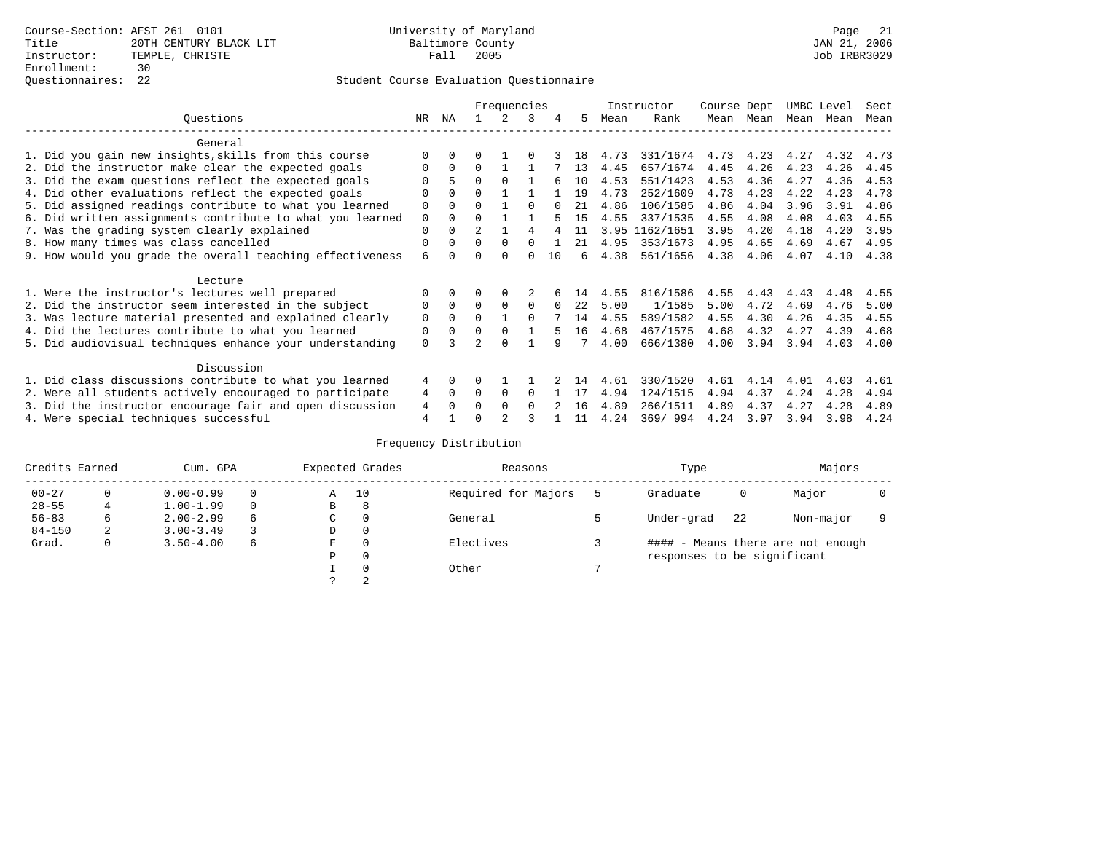|                                                           |             |              |                | Frequencies   |          |    |    |      | Instructor | Course Dept |           |      | UMBC Level | Sect |
|-----------------------------------------------------------|-------------|--------------|----------------|---------------|----------|----|----|------|------------|-------------|-----------|------|------------|------|
| Ouestions                                                 | NR          | ΝA           |                | $\mathcal{L}$ | 3        | 4  | 5  | Mean | Rank       |             | Mean Mean |      | Mean Mean  | Mean |
| General                                                   |             |              |                |               |          |    |    |      |            |             |           |      |            |      |
| 1. Did you gain new insights, skills from this course     |             | <sup>0</sup> |                |               |          |    | 18 | 4.73 | 331/1674   | 4.73        | 4.23      | 4.27 | 4.32       | 4.73 |
| 2. Did the instructor make clear the expected goals       |             | $\Omega$     | <sup>0</sup>   |               |          |    | 13 | 4.45 | 657/1674   | 4.45        | 4.26      | 4.23 | 4.26       | 4.45 |
| 3. Did the exam questions reflect the expected goals      |             | 5            | 0              | <sup>0</sup>  |          |    | 10 | 4.53 | 551/1423   | 4.53        | 4.36      | 4.27 | 4.36       | 4.53 |
| 4. Did other evaluations reflect the expected goals       |             | $\Omega$     | U              |               |          |    | 19 | 4.73 | 252/1609   | 4.73        | 4.23      | 4.22 | 4.23       | 4.73 |
| 5. Did assigned readings contribute to what you learned   | 0           | $\Omega$     | 0              |               |          |    | 21 | 4.86 | 106/1585   | 4.86        | 4.04      | 3.96 | 3.91       | 4.86 |
| 6. Did written assignments contribute to what you learned | $\mathbf 0$ | $\Omega$     | U              |               |          |    | 15 | 4.55 | 337/1535   | 4.55        | 4.08      | 4.08 | 4.03       | 4.55 |
| 7. Was the grading system clearly explained               | 0           | $\Omega$     | $\mathfrak{D}$ |               |          |    | 11 | 3.95 | 1162/1651  | 3.95        | 4.20      | 4.18 | 4.20       | 3.95 |
| 8. How many times was class cancelled                     | 0           | 0            | U              | $\Omega$      |          |    | 21 | 4.95 | 353/1673   | 4.95        | 4.65      | 4.69 | 4.67       | 4.95 |
| 9. How would you grade the overall teaching effectiveness | 6           | <sup>n</sup> |                | <sup>n</sup>  | U        | 10 | б. | 4.38 | 561/1656   | 4.38        | 4.06      | 4.07 | 4.10       | 4.38 |
|                                                           |             |              |                |               |          |    |    |      |            |             |           |      |            |      |
| Lecture                                                   |             |              |                |               |          |    |    |      |            |             |           |      | 4.48       |      |
| 1. Were the instructor's lectures well prepared           |             |              |                |               |          |    | 14 | 4.55 | 816/1586   | 4.55        | 4.43      | 4.43 |            | 4.55 |
| 2. Did the instructor seem interested in the subject      | 0           | $\Omega$     | 0              | $\Omega$      | 0        |    | 22 | 5.00 | 1/1585     | 5.00        | 4.72      | 4.69 | 4.76       | 5.00 |
| 3. Was lecture material presented and explained clearly   | 0           | $\Omega$     | 0              |               | $\Omega$ |    | 14 | 4.55 | 589/1582   | 4.55        | 4.30      | 4.26 | 4.35       | 4.55 |
| 4. Did the lectures contribute to what you learned        | 0           | 0            | 0              | $\Omega$      |          |    | 16 | 4.68 | 467/1575   | 4.68        | 4.32      | 4.27 | 4.39       | 4.68 |
| 5. Did audiovisual techniques enhance your understanding  | 0           |              |                | U             |          | q  |    | 4.00 | 666/1380   | 4.00        | 3.94      | 3.94 | 4.03       | 4.00 |
| Discussion                                                |             |              |                |               |          |    |    |      |            |             |           |      |            |      |
| 1. Did class discussions contribute to what you learned   | 4           | $\Omega$     |                |               |          |    | 14 | 4.61 | 330/1520   | 4.61        | 4.14      | 4.01 | 4.03       | 4.61 |
| 2. Were all students actively encouraged to participate   | 4           | $\Omega$     | U              | $\Omega$      | $\Omega$ |    | 17 | 4.94 | 124/1515   | 4.94        | 4.37      | 4.24 | 4.28       | 4.94 |
| 3. Did the instructor encourage fair and open discussion  | 4           | <sup>0</sup> |                | $\Omega$      | $\Omega$ |    | 16 | 4.89 | 266/1511   | 4.89        | 4.37      | 4.27 | 4.28       | 4.89 |
| 4. Were special techniques successful                     | 4           |              |                |               |          |    | 11 | 4.24 | 369/994    | 4.24        | 3.97      | 3.94 | 3.98       | 4.24 |

| Credits Earned |          | Cum. GPA      |   |   | Expected Grades | Reasons             | Type                        |    | Majors                            |  |
|----------------|----------|---------------|---|---|-----------------|---------------------|-----------------------------|----|-----------------------------------|--|
| $00 - 27$      | $\Omega$ | $0.00 - 0.99$ |   | Α | 10              | Required for Majors | Graduate                    | 0  | Major                             |  |
| $28 - 55$      | 4        | $1.00 - 1.99$ |   | B | 8               |                     |                             |    |                                   |  |
| $56 - 83$      | 6        | $2.00 - 2.99$ | 6 | C | 0               | General             | Under-grad                  | 22 | Non-major                         |  |
| $84 - 150$     | 2        | $3.00 - 3.49$ |   | D | 0               |                     |                             |    |                                   |  |
| Grad.          | 0        | $3.50 - 4.00$ | 6 | F | 0               | Electives           |                             |    | #### - Means there are not enough |  |
|                |          |               |   | Ρ | 0               |                     | responses to be significant |    |                                   |  |
|                |          |               |   |   | $\Omega$        | Other               |                             |    |                                   |  |
|                |          |               |   |   | 2               |                     |                             |    |                                   |  |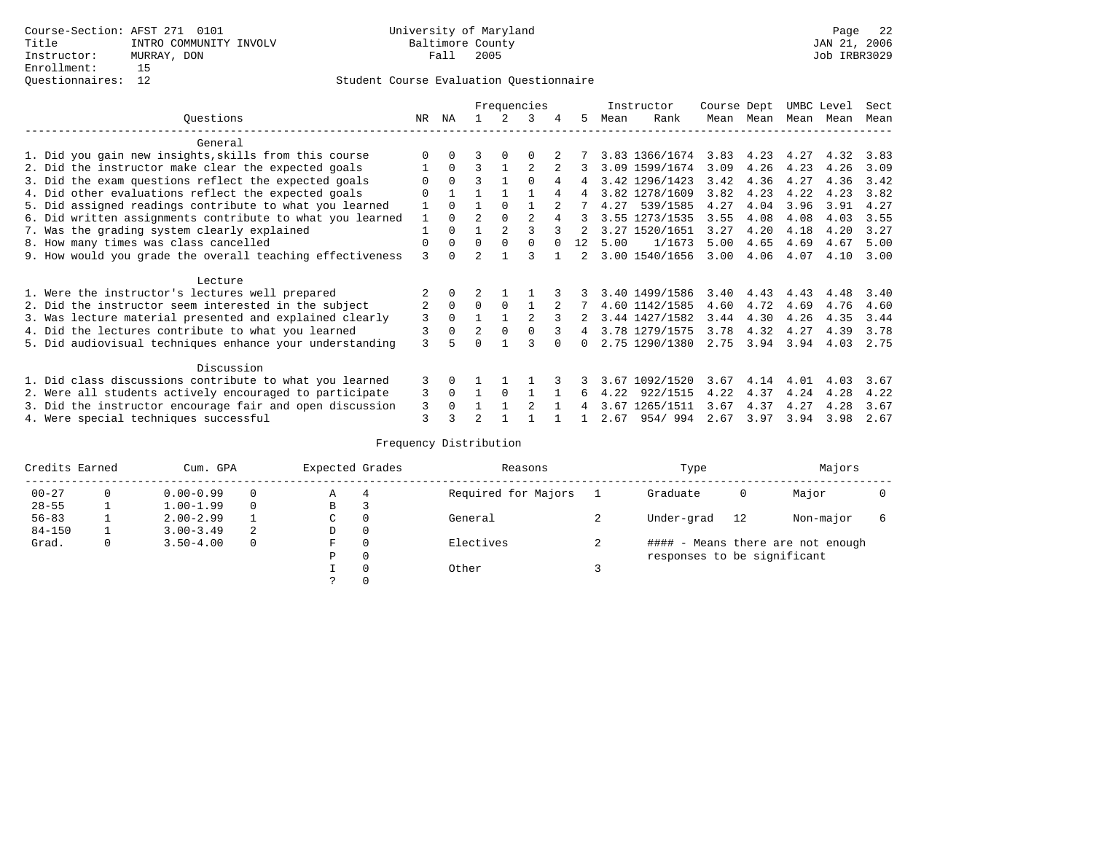|                                                           |                |          |                          |               | Frequencies    |   |    |      | Instructor     | Course Dept |           | UMBC Level |      | Sect |
|-----------------------------------------------------------|----------------|----------|--------------------------|---------------|----------------|---|----|------|----------------|-------------|-----------|------------|------|------|
| Ouestions                                                 | NR             | ΝA       |                          |               |                | 4 | 5. | Mean | Rank           |             | Mean Mean | Mean Mean  |      | Mean |
| General                                                   |                |          |                          |               |                |   |    |      |                |             |           |            |      |      |
| 1. Did you gain new insights, skills from this course     |                |          |                          |               |                |   |    |      | 3.83 1366/1674 | 3.83        | 4.23      | 4.27       | 4.32 | 3.83 |
| 2. Did the instructor make clear the expected goals       |                | $\Omega$ | ς                        |               |                |   |    |      | 3.09 1599/1674 | 3.09        | 4.26      | 4.23       | 4.26 | 3.09 |
| 3. Did the exam questions reflect the expected goals      |                | $\Omega$ | ς                        |               | U              | 4 | 4  |      | 3.42 1296/1423 | 3.42        | 4.36      | 4.27       | 4.36 | 3.42 |
| 4. Did other evaluations reflect the expected goals       |                |          |                          |               |                | 4 | 4  |      | 3.82 1278/1609 | 3.82        | 4.23      | 4.22       | 4.23 | 3.82 |
| 5. Did assigned readings contribute to what you learned   |                | $\Omega$ |                          | $\Omega$      |                |   |    | 4.27 | 539/1585       | 4.27        | 4.04      | 3.96       | 3.91 | 4.27 |
| 6. Did written assignments contribute to what you learned |                | $\Omega$ | $\overline{\mathcal{L}}$ | $\Omega$      | $\mathfrak{D}$ |   |    |      | 3.55 1273/1535 | 3.55        | 4.08      | 4.08       | 4.03 | 3.55 |
| 7. Was the grading system clearly explained               |                | $\Omega$ |                          | $\mathcal{D}$ |                |   |    | 3.27 | 1520/1651      | 3.27        | 4.20      | 4.18       | 4.20 | 3.27 |
| 8. How many times was class cancelled                     | 0              | $\Omega$ | U                        | $\Omega$      |                |   | 12 | 5.00 | 1/1673         | 5.00        | 4.65      | 4.69       | 4.67 | 5.00 |
| 9. How would you grade the overall teaching effectiveness | ζ              | $\cap$   |                          |               |                |   |    |      | 3.00 1540/1656 | 3.00        | 4.06      | 4.07       | 4.10 | 3.00 |
| Lecture                                                   |                |          |                          |               |                |   |    |      |                |             |           |            |      |      |
| 1. Were the instructor's lectures well prepared           |                | $\Omega$ |                          |               |                |   |    |      | 3.40 1499/1586 | 3.40        | 4.43      | 4.43       | 4.48 | 3.40 |
| 2. Did the instructor seem interested in the subject      | $\overline{2}$ | $\Omega$ | $\Omega$                 | $\Omega$      |                |   |    |      | 4.60 1142/1585 | 4.60        | 4.72      | 4.69       | 4.76 | 4.60 |
| 3. Was lecture material presented and explained clearly   | 3              | $\Omega$ |                          |               | $\mathfrak{D}$ |   |    |      | 3.44 1427/1582 | 3.44        | 4.30      | 4.26       | 4.35 | 3.44 |
| 4. Did the lectures contribute to what you learned        | 3              | 0        | 2                        | $\Omega$      |                |   | 4  |      | 3.78 1279/1575 | 3.78        | 4.32      | 4.27       | 4.39 | 3.78 |
| 5. Did audiovisual techniques enhance your understanding  | ζ              |          |                          |               |                |   |    |      | 2.75 1290/1380 | 2.75        | 3.94      | 3.94       | 4.03 | 2.75 |
|                                                           |                |          |                          |               |                |   |    |      |                |             |           |            |      |      |
| Discussion                                                |                |          |                          |               |                |   |    |      |                |             |           |            |      |      |
| 1. Did class discussions contribute to what you learned   | 3              | 0        |                          |               |                |   |    | 3.67 | 1092/1520      | 3.67        | 4.14      | 4.01       | 4.03 | 3.67 |
| 2. Were all students actively encouraged to participate   | 3              | $\Omega$ |                          | $\Omega$      |                |   | 6  | 4.22 | 922/1515       | 4.22        | 4.37      | 4.24       | 4.28 | 4.22 |
| 3. Did the instructor encourage fair and open discussion  | 3              |          |                          |               | $\mathfrak{D}$ |   |    | 3.67 | 1265/1511      | 3.67        | 4.37      | 4.27       | 4.28 | 3.67 |
| 4. Were special techniques successful                     | 3              |          |                          |               |                |   |    | 2.67 | 954/994        | 2.67        | 3.97      | 3.94       | 3.98 | 2.67 |

| Credits Earned |   | Cum. GPA      |   | Expected Grades |          | Reasons             | Type                        |    | Majors                            |   |
|----------------|---|---------------|---|-----------------|----------|---------------------|-----------------------------|----|-----------------------------------|---|
| $00 - 27$      | 0 | $0.00 - 0.99$ |   | Α               | 4        | Required for Majors | Graduate                    | 0  | Major                             |   |
| $28 - 55$      |   | $1.00 - 1.99$ |   | В               |          |                     |                             |    |                                   |   |
| $56 - 83$      |   | $2.00 - 2.99$ |   | $\sim$<br>◡     | $\Omega$ | General             | Under-grad                  | 12 | Non-major                         | 6 |
| $84 - 150$     |   | $3.00 - 3.49$ | 2 | D               | 0        |                     |                             |    |                                   |   |
| Grad.          | 0 | $3.50 - 4.00$ |   | F               | 0        | Electives           |                             |    | #### - Means there are not enough |   |
|                |   |               |   | Ρ               | 0        |                     | responses to be significant |    |                                   |   |
|                |   |               |   |                 | 0        | Other               |                             |    |                                   |   |
|                |   |               |   | $\mathcal{L}$   |          |                     |                             |    |                                   |   |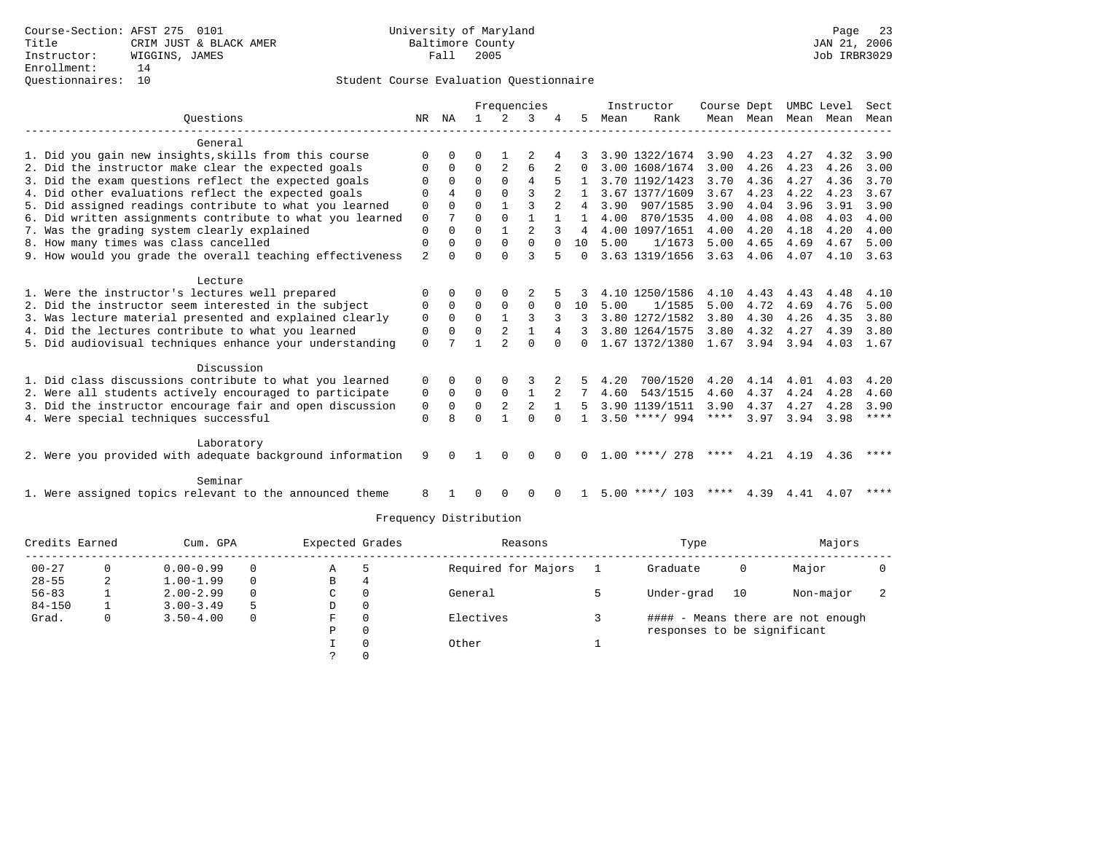|                                                           |             |              |          |                | Frequencies    |          |          |      | Instructor       | Course Dept |      | UMBC Level |           | Sect        |
|-----------------------------------------------------------|-------------|--------------|----------|----------------|----------------|----------|----------|------|------------------|-------------|------|------------|-----------|-------------|
| Ouestions                                                 | NR          | ΝA           |          | $\mathcal{L}$  |                |          | 5        | Mean | Rank             | Mean Mean   |      | Mean Mean  |           | Mean        |
| General                                                   |             |              |          |                |                |          |          |      |                  |             |      |            |           |             |
| 1. Did you gain new insights, skills from this course     | 0           | <sup>0</sup> |          |                |                |          |          |      | 3.90 1322/1674   | 3.90        | 4.23 | 4.27       | 4.32      | 3.90        |
| 2. Did the instructor make clear the expected goals       |             | $\Omega$     | $\Omega$ | $\overline{2}$ | 6              | 2        | $\Omega$ |      | 3.00 1608/1674   | 3.00        | 4.26 | 4.23       | 4.26      | 3.00        |
| 3. Did the exam questions reflect the expected goals      |             | $\Omega$     | $\Omega$ | $\Omega$       | 4              | 5        |          |      | 3.70 1192/1423   | 3.70        | 4.36 | 4.27       | 4.36      | 3.70        |
| 4. Did other evaluations reflect the expected goals       | U           | 4            | $\cap$   | $\Omega$       | 3              |          |          |      | 3.67 1377/1609   | 3.67        | 4.23 | 4.22       | 4.23      | 3.67        |
| 5. Did assigned readings contribute to what you learned   | $\Omega$    | $\Omega$     | $\Omega$ |                | ζ              | 2        | 4        |      | 3.90 907/1585    | 3.90        | 4.04 | 3.96       | 3.91      | 3.90        |
| 6. Did written assignments contribute to what you learned | $\mathbf 0$ |              | 0        | $\Omega$       |                |          |          | 4.00 | 870/1535         | 4.00        | 4.08 | 4.08       | 4.03      | 4.00        |
| 7. Was the grading system clearly explained               | 0           | $\Omega$     | 0        | $\mathbf{1}$   | $\overline{a}$ | 3        |          |      | 4.00 1097/1651   | 4.00        | 4.20 | 4.18       | 4.20      | 4.00        |
| 8. How many times was class cancelled                     | 0           | $\Omega$     | U        | $\Omega$       | $\Omega$       |          | 10       | 5.00 | 1/1673           | 5.00        | 4.65 | 4.69       | 4.67      | 5.00        |
| 9. How would you grade the overall teaching effectiveness | 2           | $\Omega$     | U        | $\Omega$       | 3              |          | $\Omega$ |      | 3.63 1319/1656   | 3.63        | 4.06 | 4.07       | 4.10      | 3.63        |
|                                                           |             |              |          |                |                |          |          |      |                  |             |      |            |           |             |
| Lecture                                                   |             |              |          |                |                |          |          |      |                  |             |      |            |           |             |
| 1. Were the instructor's lectures well prepared           | 0           | $\Omega$     | U        | $\Omega$       |                |          |          |      | 4.10 1250/1586   | 4.10        | 4.43 | 4.43       | 4.48      | 4.10        |
| 2. Did the instructor seem interested in the subject      | 0           | $\Omega$     | $\Omega$ | $\Omega$       | $\Omega$       | $\Omega$ | 10       | 5.00 | 1/1585           | 5.00        | 4.72 | 4.69       | 4.76      | 5.00        |
| 3. Was lecture material presented and explained clearly   | 0           | $\Omega$     | $\Omega$ |                |                |          |          |      | 3.80 1272/1582   | 3.80        | 4.30 | 4.26       | 4.35      | 3.80        |
| 4. Did the lectures contribute to what you learned        | 0           | $\Omega$     | $\Omega$ | $\overline{2}$ | $\mathbf{1}$   | 4        |          |      | 3.80 1264/1575   | 3.80        | 4.32 | 4.27       | 4.39      | 3.80        |
| 5. Did audiovisual techniques enhance your understanding  | $\Omega$    |              |          |                | $\cap$         | $\cap$   | $\Omega$ |      | 1.67 1372/1380   | 1.67 3.94   |      | 3.94       | 4.03 1.67 |             |
| Discussion                                                |             |              |          |                |                |          |          |      |                  |             |      |            |           |             |
| 1. Did class discussions contribute to what you learned   | 0           | 0            | 0        | $\Omega$       | 3              | 2        | 5.       | 4.20 | 700/1520         | 4.20        | 4.14 | 4.01       | 4.03      | 4.20        |
| 2. Were all students actively encouraged to participate   | 0           | $\Omega$     | 0        | 0              | $\mathbf{1}$   | 2        |          | 4.60 | 543/1515         | 4.60        | 4.37 | 4.24       | 4.28      | 4.60        |
| 3. Did the instructor encourage fair and open discussion  | 0           | $\Omega$     | $\Omega$ | $\overline{2}$ | $\mathfrak{D}$ |          | 5        |      | 3.90 1139/1511   | 3.90        | 4.37 | 4.27       | 4.28      | 3.90        |
| 4. Were special techniques successful                     | 0           | R            |          |                | $\Omega$       | $\Omega$ |          |      | $3.50$ ****/ 994 | ****        | 3.97 | 3.94       | 3.98      | $***$ * * * |
|                                                           |             |              |          |                |                |          |          |      |                  |             |      |            |           |             |
| Laboratory                                                |             |              |          |                |                |          |          |      |                  |             |      |            |           |             |
| 2. Were you provided with adequate background information | 9           | $\Omega$     |          | $\Omega$       | 0              | $\Omega$ | $\Omega$ |      | $1.00$ ****/ 278 | ****        | 4.21 | 4.19       | 4.36      | $* * * * *$ |
|                                                           |             |              |          |                |                |          |          |      |                  |             |      |            |           |             |
| Seminar                                                   |             |              |          |                |                |          |          |      |                  |             |      |            |           |             |
| 1. Were assigned topics relevant to the announced theme   | 8           |              |          | $\Omega$       | 0              |          |          |      | $5.00$ ****/ 103 | * * * *     | 4.39 | 4.41       | 4.07      | ****        |

| Credits Earned |    | Cum. GPA      |          | Expected Grades | Reasons             | Type                        |    | Majors                            |  |
|----------------|----|---------------|----------|-----------------|---------------------|-----------------------------|----|-----------------------------------|--|
| $00 - 27$      |    | $0.00 - 0.99$ | 0        | Α               | Required for Majors | Graduate                    | 0  | Major                             |  |
| $28 - 55$      | z. | $1.00 - 1.99$ | $\Omega$ | В               |                     |                             |    |                                   |  |
| $56 - 83$      |    | $2.00 - 2.99$ | $\Omega$ | C               | General             | Under-grad                  | 10 | Non-major                         |  |
| $84 - 150$     |    | $3.00 - 3.49$ | 5        | D               |                     |                             |    |                                   |  |
| Grad.          |    | $3.50 - 4.00$ | $\Omega$ | F               | Electives           |                             |    | #### - Means there are not enough |  |
|                |    |               |          | P               |                     | responses to be significant |    |                                   |  |
|                |    |               |          |                 | Other               |                             |    |                                   |  |
|                |    |               |          |                 |                     |                             |    |                                   |  |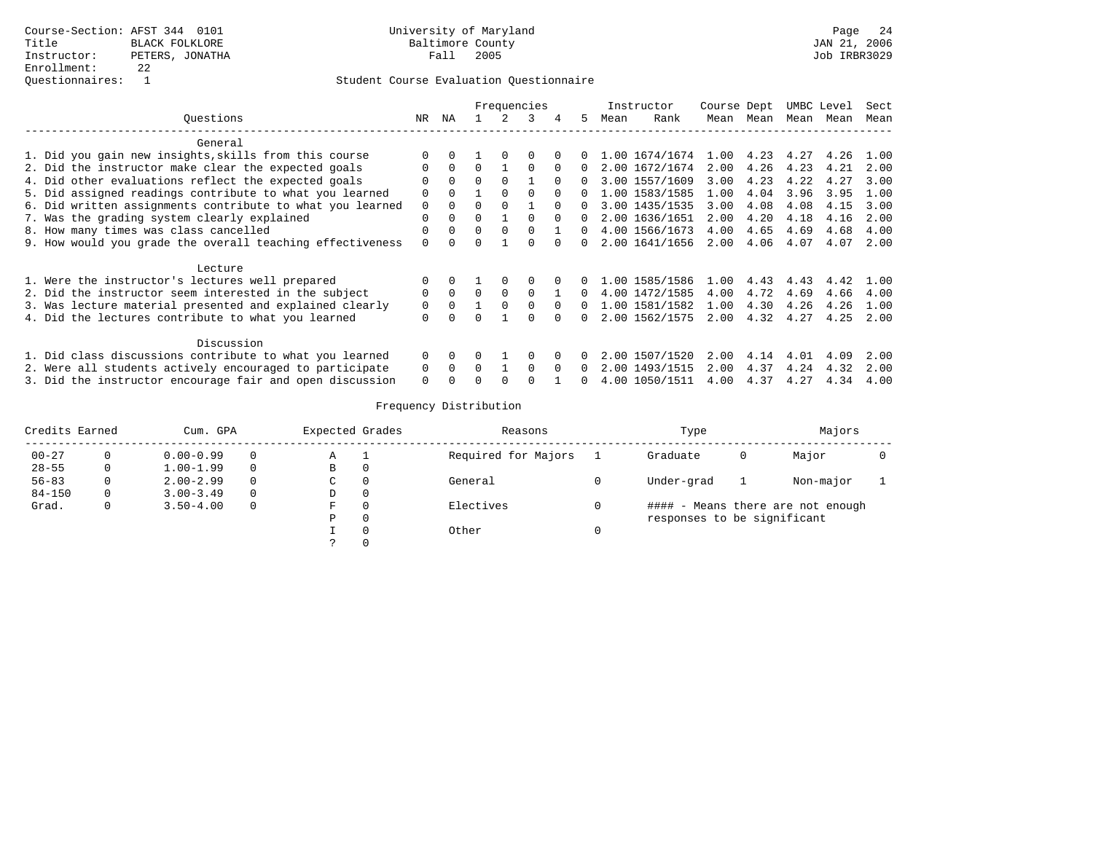|                                                           |          |              |              |          | Frequencies  |          |          |      | Instructor     | Course Dept |           |      | UMBC Level | Sect |
|-----------------------------------------------------------|----------|--------------|--------------|----------|--------------|----------|----------|------|----------------|-------------|-----------|------|------------|------|
| Ouestions                                                 | NR       | ΝA           |              |          | 3            | 4        | 5.       | Mean | Rank           |             | Mean Mean | Mean | Mean       | Mean |
| General                                                   |          |              |              |          |              |          |          |      |                |             |           |      |            |      |
| 1. Did you gain new insights, skills from this course     |          |              |              |          | 0            |          |          |      | 1.00 1674/1674 | 1.00        | 4.23      | 4.27 | 4.26       | 1.00 |
| 2. Did the instructor make clear the expected goals       | 0        | $\Omega$     | $\Omega$     |          | $\Omega$     | 0        | 0        |      | 2.00 1672/1674 | 2.00        | 4.26      | 4.23 | 4.21       | 2.00 |
| 4. Did other evaluations reflect the expected goals       | O        | $\Omega$     | $\Omega$     | $\Omega$ |              | $\Omega$ |          |      | 3.00 1557/1609 | 3.00        | 4.23      | 4.22 | 4.27       | 3.00 |
| 5. Did assigned readings contribute to what you learned   | O        | $\Omega$     |              | $\cap$   | <sup>n</sup> |          |          |      | 1.00 1583/1585 | 1.00        | 4.04      | 3.96 | 3.95       | 1.00 |
| 6. Did written assignments contribute to what you learned | 0        | $\Omega$     | 0            |          |              |          | 0        |      | 3.00 1435/1535 | 3.00        | 4.08      | 4.08 | 4.15       | 3.00 |
| 7. Was the grading system clearly explained               | $\Omega$ | $\Omega$     | 0            |          | <sup>0</sup> | $\Omega$ |          |      | 2.00 1636/1651 | 2.00        | 4.20      | 4.18 | 4.16       | 2.00 |
| 8. How many times was class cancelled                     | $\Omega$ | $\Omega$     | 0            | $\Omega$ | <sup>0</sup> |          | 0        |      | 4.00 1566/1673 | 4.00        | 4.65      | 4.69 | 4.68       | 4.00 |
| 9. How would you grade the overall teaching effectiveness | $\Omega$ | $\cap$       | <sup>n</sup> |          | <sup>n</sup> | $\cap$   | $\Omega$ |      | 2.00 1641/1656 | 2.00        | 4.06      | 4.07 | 4.07       | 2.00 |
| Lecture                                                   |          |              |              |          |              |          |          |      |                |             |           |      |            |      |
| 1. Were the instructor's lectures well prepared           |          | $\Omega$     |              | $\Omega$ | O            |          |          |      | 1.00 1585/1586 | 1.00        | 4.43      | 4.43 | 4.42       | 1.00 |
| 2. Did the instructor seem interested in the subject      | $\Omega$ | $\Omega$     | $\Omega$     | $\Omega$ | <sup>0</sup> |          |          |      | 4.00 1472/1585 | 4.00        | 4.72      | 4.69 | 4.66       | 4.00 |
| 3. Was lecture material presented and explained clearly   | 0        | $\mathbf{0}$ |              |          |              |          |          |      | 1.00 1581/1582 | 1.00        | 4.30      | 4.26 | 4.26       | 1.00 |
| 4. Did the lectures contribute to what you learned        | 0        |              |              |          |              |          |          |      | 2.00 1562/1575 | 2.00        | 4.32      | 4.27 | 4.25       | 2.00 |
| Discussion                                                |          |              |              |          |              |          |          |      |                |             |           |      |            |      |
| 1. Did class discussions contribute to what you learned   | $\Omega$ | $\Omega$     |              |          |              |          |          |      | 2.00 1507/1520 | 2.00        | 4.14      | 4.01 | 4.09       | 2.00 |
| 2. Were all students actively encouraged to participate   | 0        | $\Omega$     | $\Omega$     |          | <sup>0</sup> | $\Omega$ | 0        |      | 2.00 1493/1515 | 2.00        | 4.37      | 4.24 | 4.32       | 2.00 |
| 3. Did the instructor encourage fair and open discussion  | $\Omega$ |              |              |          |              |          |          |      | 4.00 1050/1511 | 4.00        | 4.37      | 4.27 | 4.34       | 4.00 |

| Credits Earned |          | Cum. GPA      |              | Expected Grades |              | Reasons             | Type                        |   | Majors                            |  |
|----------------|----------|---------------|--------------|-----------------|--------------|---------------------|-----------------------------|---|-----------------------------------|--|
| $00 - 27$      |          | $0.00 - 0.99$ | $\Omega$     | Α               |              | Required for Majors | Graduate                    | 0 | Major                             |  |
| $28 - 55$      | 0        | $1.00 - 1.99$ | $\Omega$     | В               | 0            |                     |                             |   |                                   |  |
| $56 - 83$      | 0        | $2.00 - 2.99$ | $\Omega$     | C               | 0            | General             | Under-grad                  |   | Non-major                         |  |
| $84 - 150$     | $\Omega$ | $3.00 - 3.49$ | $\Omega$     | D               | 0            |                     |                             |   |                                   |  |
| Grad.          | 0        | $3.50 - 4.00$ | $\mathbf{0}$ | F               | 0            | Electives           |                             |   | #### - Means there are not enough |  |
|                |          |               |              | Р               | $\mathbf{0}$ |                     | responses to be significant |   |                                   |  |
|                |          |               |              |                 | 0            | Other               |                             |   |                                   |  |
|                |          |               |              |                 | 0            |                     |                             |   |                                   |  |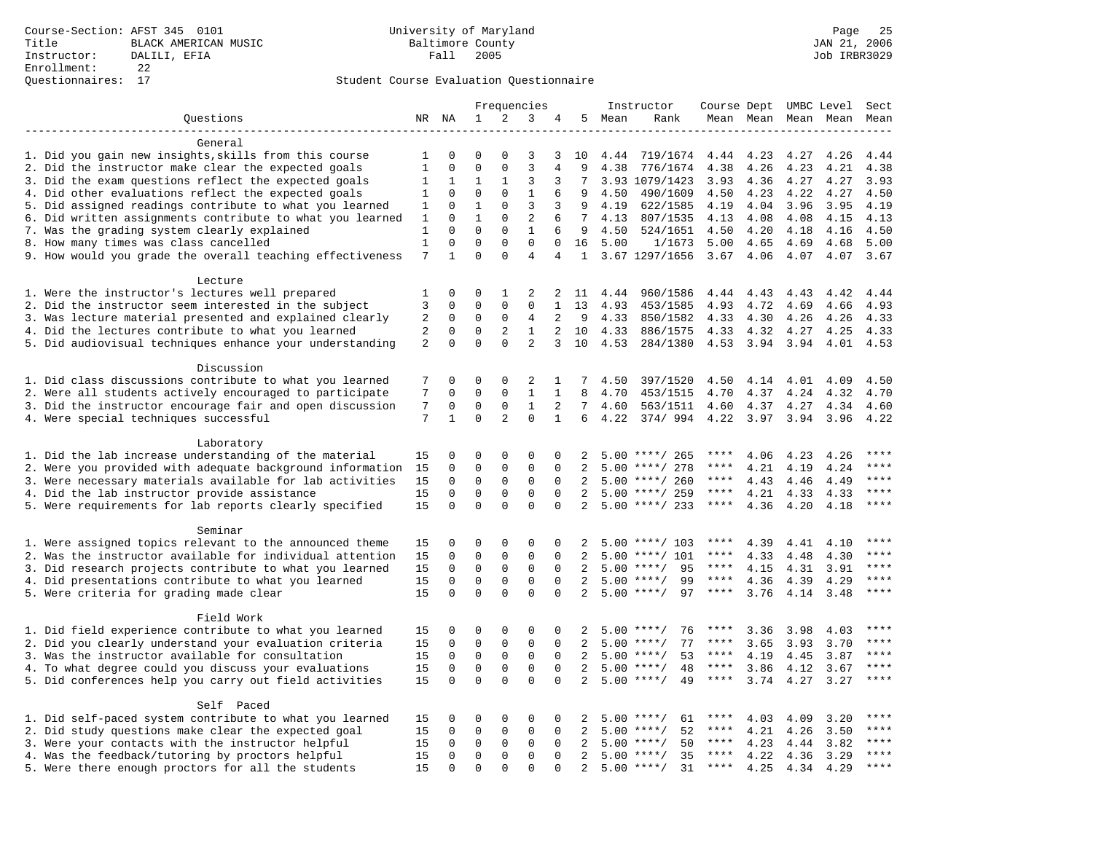|                                                                                                                |              |                            |                              |                             | Frequencies                |                            |                      |              | Instructor                           | Course Dept UMBC Level |              |              |                     | Sect         |
|----------------------------------------------------------------------------------------------------------------|--------------|----------------------------|------------------------------|-----------------------------|----------------------------|----------------------------|----------------------|--------------|--------------------------------------|------------------------|--------------|--------------|---------------------|--------------|
| Questions                                                                                                      |              | NR NA                      | 1                            | 2                           | 3                          | 4                          |                      | 5 Mean       | Rank                                 |                        |              |              | Mean Mean Mean Mean | Mean         |
|                                                                                                                |              |                            |                              |                             |                            |                            |                      |              |                                      |                        |              |              |                     |              |
| General                                                                                                        |              |                            |                              |                             |                            |                            |                      |              |                                      |                        |              |              |                     |              |
| 1. Did you gain new insights, skills from this course                                                          | 1            | $\mathbf 0$                | $\Omega$                     | $\Omega$                    | 3                          | 3                          | 10                   | 4.44         | 719/1674                             | 4.44                   | 4.23         | 4.27         | 4.26                | 4.44         |
| 2. Did the instructor make clear the expected goals                                                            | $\mathbf{1}$ | $\mathbf{0}$               | $\mathbf 0$                  | $\mathbf{0}$                | $\overline{3}$             | 4                          | 9                    | 4.38         | 776/1674                             | 4.38                   | 4.26         | 4.23         | 4.21                | 4.38         |
| 3. Did the exam questions reflect the expected goals                                                           | 1            | 1                          | 1                            | 1                           | 3                          | 3                          | 7                    |              | 3.93 1079/1423                       | 3.93                   | 4.36         | 4.27         | 4.27                | 3.93         |
| 4. Did other evaluations reflect the expected goals                                                            | 1            | $\mathbf 0$                | $\mathbf 0$                  | $\mathbf 0$                 | $\mathbf{1}$               | 6                          | 9                    | 4.50         | 490/1609                             | 4.50                   | 4.23         | 4.22         | 4.27                | 4.50         |
| 5. Did assigned readings contribute to what you learned                                                        | 1            | $\mathbf 0$                | $\mathbf{1}$<br>$\mathbf{1}$ | $\mathbf 0$                 | 3<br>$\overline{2}$        | 3                          | 9<br>$7\phantom{.0}$ | 4.19         | 622/1585                             | 4.19                   | 4.04         | 3.96         | 3.95                | 4.19         |
| 6. Did written assignments contribute to what you learned<br>7. Was the grading system clearly explained       | 1<br>1       | $\mathbf 0$<br>$\Omega$    | $\Omega$                     | $\mathbf 0$<br>$\mathbf{0}$ | $\mathbf{1}$               | 6<br>6                     | 9                    | 4.13<br>4.50 | 807/1535<br>524/1651                 | 4.13<br>4.50           | 4.08<br>4.20 | 4.08<br>4.18 | 4.15<br>4.16        | 4.13<br>4.50 |
| 8. How many times was class cancelled                                                                          | $\mathbf{1}$ | $\Omega$                   | $\Omega$                     | $\Omega$                    | $\Omega$                   | $\Omega$                   | 16                   | 5.00         | 1/1673                               | 5.00                   | 4.65         | 4.69         | 4.68                | 5.00         |
| 9. How would you grade the overall teaching effectiveness                                                      | 7            | $\mathbf{1}$               | $\Omega$                     | $\Omega$                    | $\overline{4}$             | 4                          | 1                    |              | 3.67 1297/1656                       | $3.67$ 4.06            |              | 4.07         | 4.07                | 3.67         |
|                                                                                                                |              |                            |                              |                             |                            |                            |                      |              |                                      |                        |              |              |                     |              |
| Lecture                                                                                                        |              |                            |                              |                             |                            |                            |                      |              |                                      |                        |              |              |                     |              |
| 1. Were the instructor's lectures well prepared                                                                | 1            | $\mathbf 0$                | 0                            | 1                           | 2                          | 2                          | 11                   | 4.44         | 960/1586                             | 4.44                   | 4.43         | 4.43         | 4.42                | 4.44         |
| 2. Did the instructor seem interested in the subject                                                           | 3            | $\mathbf 0$                | $\mathbf 0$                  | $\mathbf 0$                 | $\mathbf 0$                | 1                          | 13                   | 4.93         | 453/1585                             | 4.93                   | 4.72         | 4.69         | 4.66                | 4.93         |
| 3. Was lecture material presented and explained clearly                                                        | 2            | $\mathbf 0$                | 0                            | $\mathbf 0$                 | 4                          | 2                          | - 9                  | 4.33         | 850/1582                             | 4.33                   | 4.30         | 4.26         | 4.26                | 4.33         |
| 4. Did the lectures contribute to what you learned                                                             | 2            | $\mathbf 0$                | $\mathbf 0$                  | 2                           | $\mathbf{1}$               | $\overline{2}$             | 10                   | 4.33         | 886/1575                             | 4.33                   | 4.32         | 4.27         | 4.25                | 4.33         |
| 5. Did audiovisual techniques enhance your understanding                                                       | 2            | $\Omega$                   | $\Omega$                     | $\Omega$                    | $\overline{a}$             | 3                          | 10                   | 4.53         | 284/1380                             | 4.53                   | 3.94         | 3.94         | 4.01                | 4.53         |
|                                                                                                                |              |                            |                              |                             |                            |                            |                      |              |                                      |                        |              |              |                     |              |
| Discussion                                                                                                     |              |                            |                              |                             |                            |                            |                      |              |                                      |                        |              |              |                     |              |
| 1. Did class discussions contribute to what you learned                                                        | 7            | 0                          | $\mathbf 0$                  | $\mathbf{0}$                | 2                          | 1                          | 7                    | 4.50         | 397/1520                             | 4.50                   | 4.14         | 4.01         | 4.09                | 4.50         |
| 2. Were all students actively encouraged to participate                                                        | 7            | $\mathbf 0$                | 0                            | $\mathbf 0$                 | $\mathbf{1}$               | $\mathbf{1}$               | 8                    | 4.70         | 453/1515                             | 4.70                   | 4.37         | 4.24         | 4.32                | 4.70         |
| 3. Did the instructor encourage fair and open discussion                                                       | 7            | $\mathbf 0$                | $\mathbf 0$                  | $\mathbf 0$                 | $\mathbf{1}$               | 2                          | 7                    | 4.60         | 563/1511                             | 4.60                   | 4.37         | 4.27         | 4.34                | 4.60         |
| 4. Were special techniques successful                                                                          | 7            | $\mathbf{1}$               | $\Omega$                     | $\overline{2}$              | $\Omega$                   | $\mathbf{1}$               | 6                    | 4.22         | 374/994                              | 4.22                   | 3.97         | 3.94         | 3.96                | 4.22         |
|                                                                                                                |              |                            |                              |                             |                            |                            |                      |              |                                      |                        |              |              |                     |              |
| Laboratory                                                                                                     |              |                            |                              |                             |                            |                            |                      |              |                                      |                        |              |              |                     | $***$ * * *  |
| 1. Did the lab increase understanding of the material                                                          | 15           | $\Omega$                   | $\mathbf 0$                  | $\mathbf{0}$                | $\mathbf{0}$               | 0                          | 2                    |              | $5.00$ ****/ 265                     | $***$ * *<br>****      | 4.06         | 4.23         | 4.26                | ****         |
| 2. Were you provided with adequate background information                                                      | 15           | $\mathbf 0$<br>$\mathbf 0$ | 0<br>$\mathbf 0$             | $\mathbf{0}$<br>$\mathbf 0$ | $\mathsf 0$<br>$\mathbf 0$ | $\mathbf 0$<br>$\mathbf 0$ | 2<br>2               | 5.00         | ****/ 278                            | $***$ * * *            | 4.21         | 4.19         | 4.24                | ****         |
| 3. Were necessary materials available for lab activities<br>4. Did the lab instructor provide assistance       | 15<br>15     | $\Omega$                   | $\Omega$                     | $\Omega$                    | $\Omega$                   | $\Omega$                   | 2                    |              | $5.00$ ****/ 260<br>$5.00$ ****/ 259 | $***$ * *              | 4.43<br>4.21 | 4.46<br>4.33 | 4.49<br>4.33        | ****         |
| 5. Were requirements for lab reports clearly specified                                                         | 15           | $\Omega$                   | $\Omega$                     | $\Omega$                    | $\Omega$                   | $\Omega$                   | 2                    |              | $5.00$ ****/ 233                     | $***$ * *              | 4.36         | 4.20         | 4.18                | ****         |
|                                                                                                                |              |                            |                              |                             |                            |                            |                      |              |                                      |                        |              |              |                     |              |
| Seminar                                                                                                        |              |                            |                              |                             |                            |                            |                      |              |                                      |                        |              |              |                     |              |
| 1. Were assigned topics relevant to the announced theme                                                        | 15           | $\mathbf 0$                | $\mathbf 0$                  | $\mathbf{0}$                | 0                          | 0                          | 2                    |              | $5.00$ ****/ 103                     | ****                   | 4.39         | 4.41         | 4.10                | $***$        |
| 2. Was the instructor available for individual attention                                                       | 15           | $\mathbf 0$                | $\mathbf 0$                  | $\mathsf 0$                 | $\mathbf 0$                | $\mathbf 0$                | $\overline{2}$       |              | $5.00$ ****/ 101                     | ****                   | 4.33         | 4.48         | 4.30                | ****         |
| 3. Did research projects contribute to what you learned                                                        | 15           | $\mathbf 0$                | $\mathbf 0$                  | $\mathsf 0$                 | $\mathbf 0$                | $\mathbf 0$                | 2                    | 5.00         | $***$ /<br>95                        | ****                   | 4.15         | 4.31         | 3.91                | ****         |
| 4. Did presentations contribute to what you learned                                                            | 15           | $\mathbf 0$                | $\mathbf 0$                  | $\mathbf 0$                 | $\mathbf 0$                | $\Omega$                   | 2                    | 5.00         | 99<br>$***$ /                        | $***$ * * *            | 4.36         | 4.39         | 4.29                | $***$        |
| 5. Were criteria for grading made clear                                                                        | 15           | $\Omega$                   | $\Omega$                     | $\Omega$                    | $\Omega$                   | $\Omega$                   | 2                    |              | $5.00$ ****/<br>97                   | $***$ * * *            | 3.76         | 4.14         | 3.48                | ****         |
|                                                                                                                |              |                            |                              |                             |                            |                            |                      |              |                                      |                        |              |              |                     |              |
| Field Work                                                                                                     |              |                            |                              |                             |                            |                            |                      |              |                                      |                        |              |              |                     |              |
| 1. Did field experience contribute to what you learned                                                         | 15           | 0                          | 0                            | $\mathsf 0$                 | 0                          | 0                          | 2                    |              | 76<br>$5.00$ ****/                   | ****                   | 3.36         | 3.98         | 4.03                | $***$ * * *  |
| 2. Did you clearly understand your evaluation criteria                                                         | 15           | $\mathbf 0$                | $\mathbf 0$                  | $\mathbf 0$                 | 0                          | $\Omega$                   | 2                    | 5.00         | $***$ /<br>77                        | ****                   | 3.65         | 3.93         | 3.70                | $***$ * * *  |
| 3. Was the instructor available for consultation                                                               | 15           | $\mathbf 0$                | $\mathbf 0$                  | $\mathbf 0$                 | $\mathbf 0$                | $\Omega$                   | 2                    |              | $5.00$ ****/<br>53                   | ****                   | 4.19         | 4.45         | 3.87                | ****         |
| 4. To what degree could you discuss your evaluations                                                           | 15           | $\mathbf 0$                | $\mathbf 0$                  | $\mathbf 0$                 | $\mathbf 0$                | $\mathbf 0$                | 2                    | 5.00         | 48<br>$* * * * /$                    | $***$ * * *            | 3.86         | 4.12         | 3.67                | ****         |
| 5. Did conferences help you carry out field activities                                                         | 15           | $\Omega$                   | $\Omega$                     | $\Omega$                    | $\Omega$                   | $\Omega$                   | 2                    |              | $5.00$ ****/<br>49                   | $***$ * * *            | 3.74         | 4.27         | 3.27                | $***$        |
|                                                                                                                |              |                            |                              |                             |                            |                            |                      |              |                                      |                        |              |              |                     |              |
| Self Paced                                                                                                     | 15           | $\mathbf 0$                | 0                            | 0                           | 0                          | 0                          | 2                    |              | $5.00$ ****/<br>61                   |                        | 4.03         |              | 3.20                | $***$ * * *  |
| 1. Did self-paced system contribute to what you learned<br>2. Did study questions make clear the expected goal | 15           | $\mathbf 0$                | 0                            | 0                           | $\mathbf{0}$               | 0                          | 2                    | 5.00         | 52<br>$***$ /                        | ****                   | 4.21         | 4.09<br>4.26 | 3.50                | $***$        |
| 3. Were your contacts with the instructor helpful                                                              | 15           | $\Omega$                   | 0                            | $\mathbf 0$                 | 0                          | $\Omega$                   | 2                    | 5.00         | $***/$<br>50                         | $***$ * *              | 4.23         | 4.44         | 3.82                | $***$        |
| 4. Was the feedback/tutoring by proctors helpful                                                               | 15           | $\Omega$                   | $\mathbf 0$                  | $\mathbf 0$                 | $\Omega$                   | $\Omega$                   | 2                    |              | 35<br>$5.00$ ****/                   | ****                   | 4.22         | 4.36         | 3.29                | $***$        |
| 5. Were there enough proctors for all the students                                                             | 15           | 0                          | $\Omega$                     | $\Omega$                    | $\Omega$                   | $\Omega$                   | 2                    |              | $5.00$ ****/<br>31                   | $***$ * *              | 4.25         | 4.34         | 4.29                | $***$        |
|                                                                                                                |              |                            |                              |                             |                            |                            |                      |              |                                      |                        |              |              |                     |              |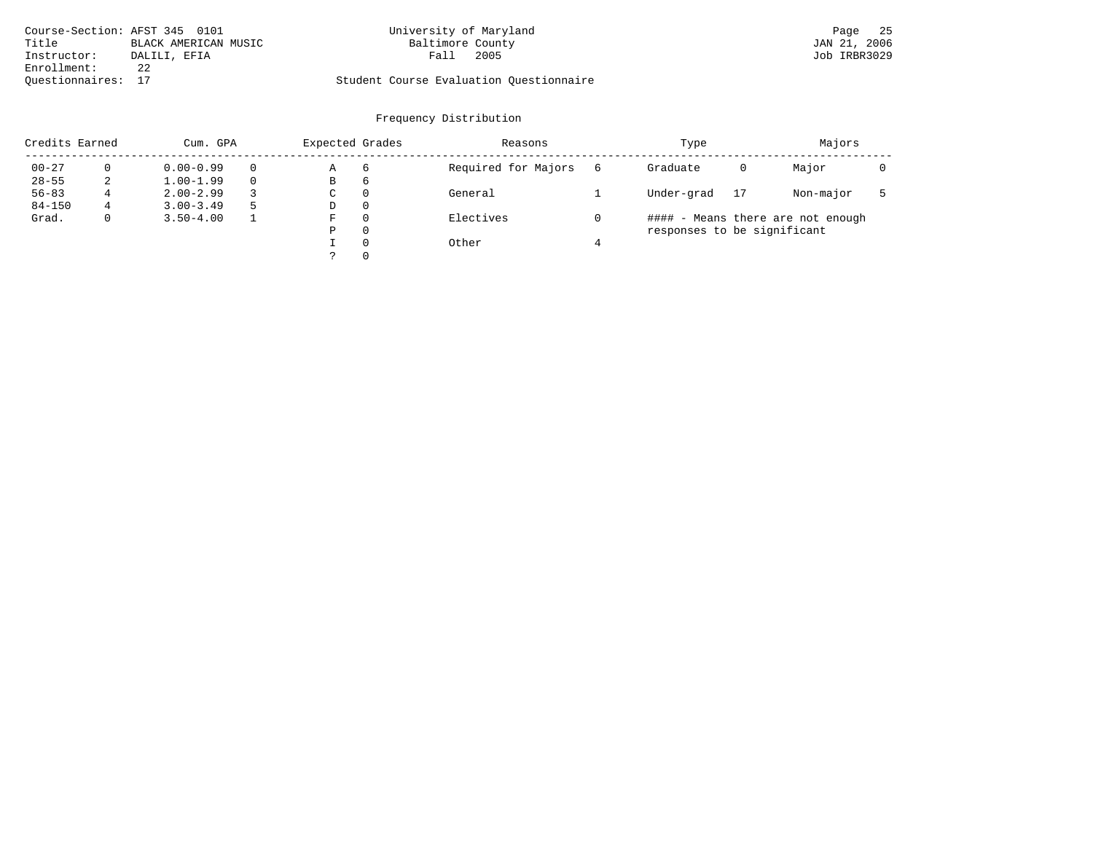| Course-Section: AFST 345 0101 |                      | University of Maryland                  | 25<br>Page   |
|-------------------------------|----------------------|-----------------------------------------|--------------|
| Title                         | BLACK AMERICAN MUSIC | Baltimore County                        | JAN 21, 2006 |
| Instructor:                   | DALILI, EFIA         | 2005<br>Fall                            | Job IRBR3029 |
| Enrollment:                   | 22                   |                                         |              |
| Ouestionnaires: 17            |                      | Student Course Evaluation Ouestionnaire |              |

| Credits Earned |             | Cum. GPA      |  | Expected Grades |          | Reasons             | Type                        | Majors |                                   |  |
|----------------|-------------|---------------|--|-----------------|----------|---------------------|-----------------------------|--------|-----------------------------------|--|
| $00 - 27$      |             | $0.00 - 0.99$ |  | Α               | 6        | Required for Majors | Graduate                    | 0      | Major                             |  |
| $28 - 55$      | 2           | $1.00 - 1.99$ |  | В               | 6        |                     |                             |        |                                   |  |
| $56 - 83$      |             | $2.00 - 2.99$ |  | C               | $\Omega$ | General             | Under-grad                  | 17     | Non-major                         |  |
| $84 - 150$     | 4           | $3.00 - 3.49$ |  | D               | $\Omega$ |                     |                             |        |                                   |  |
| Grad.          | $\mathbf 0$ | $3.50 - 4.00$ |  | F               | $\Omega$ | Electives           |                             |        | #### - Means there are not enough |  |
|                |             |               |  | Ρ               | $\Omega$ |                     | responses to be significant |        |                                   |  |
|                |             |               |  |                 | $\Omega$ | Other               |                             |        |                                   |  |
|                |             |               |  |                 | $\Omega$ |                     |                             |        |                                   |  |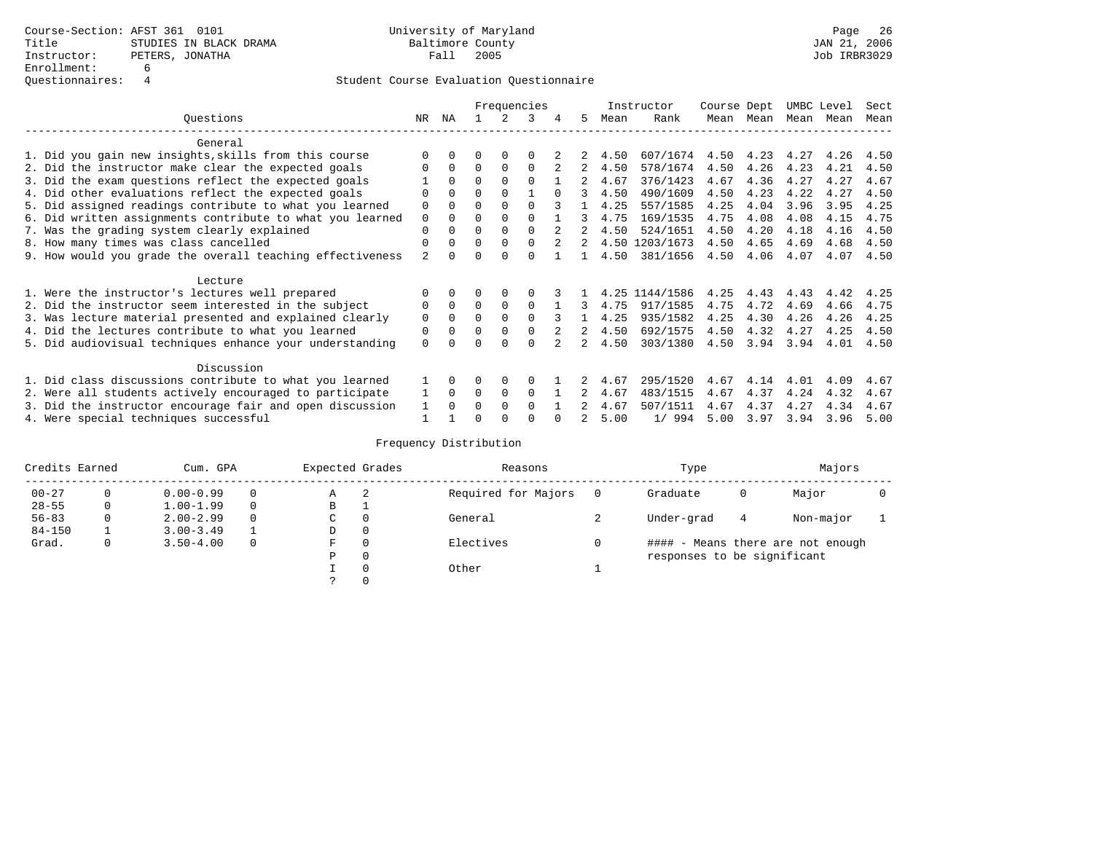|                                                          |                                                           |                |          |          |             | Frequencies  |   |    |      | Instructor     | Course Dept |      | UMBC Level |      | Sect |
|----------------------------------------------------------|-----------------------------------------------------------|----------------|----------|----------|-------------|--------------|---|----|------|----------------|-------------|------|------------|------|------|
|                                                          | Questions                                                 | NR.            | ΝA       |          |             | 3            | 4 | 5. | Mean | Rank           | Mean        | Mean | Mean       | Mean | Mean |
|                                                          | General                                                   |                |          |          |             |              |   |    |      |                |             |      |            |      |      |
|                                                          | 1. Did you gain new insights, skills from this course     |                | $\Omega$ | U        | $\Omega$    | O            |   |    | 4.50 | 607/1674       | 4.50        | 4.23 | 4.27       | 4.26 | 4.50 |
|                                                          | 2. Did the instructor make clear the expected goals       |                | $\Omega$ | $\Omega$ | $\Omega$    | $\Omega$     |   | 2  | 4.50 | 578/1674       | 4.50        | 4.26 | 4.23       | 4.21 | 4.50 |
|                                                          | 3. Did the exam questions reflect the expected goals      |                | $\Omega$ | $\Omega$ | $\Omega$    | $\Omega$     |   |    | 4.67 | 376/1423       | 4.67        | 4.36 | 4.27       | 4.27 | 4.67 |
|                                                          | 4. Did other evaluations reflect the expected goals       | O              | $\Omega$ | O        | $\Omega$    |              |   |    | 4.50 | 490/1609       | 4.50        | 4.23 | 4.22       | 4.27 | 4.50 |
|                                                          | 5. Did assigned readings contribute to what you learned   | 0              | $\Omega$ | O        | $\Omega$    | $\Omega$     |   |    | 4.25 | 557/1585       | 4.25        | 4.04 | 3.96       | 3.95 | 4.25 |
|                                                          | 6. Did written assignments contribute to what you learned | 0              |          | U        | $\Omega$    | <sup>0</sup> |   |    | 4.75 | 169/1535       | 4.75        | 4.08 | 4.08       | 4.15 | 4.75 |
|                                                          | 7. Was the grading system clearly explained               | 0              |          |          | $\Omega$    |              |   |    | 4.50 | 524/1651       | 4.50        | 4.20 | 4.18       | 4.16 | 4.50 |
|                                                          | 8. How many times was class cancelled                     | $\Omega$       | $\Omega$ | 0        | $\Omega$    | $\Omega$     | 2 | 2  |      | 4.50 1203/1673 | 4.50        | 4.65 | 4.69       | 4.68 | 4.50 |
|                                                          | 9. How would you grade the overall teaching effectiveness | $\overline{2}$ |          |          | U           | U            |   |    | 4.50 | 381/1656       | 4.50        | 4.06 | 4.07       | 4.07 | 4.50 |
|                                                          | Lecture                                                   |                |          |          |             |              |   |    |      |                |             |      |            |      |      |
|                                                          | 1. Were the instructor's lectures well prepared           |                |          |          |             |              |   |    | 4.25 | 1144/1586      | 4.25        | 4.43 | 4.43       | 4.42 | 4.25 |
|                                                          | 2. Did the instructor seem interested in the subject      | 0              | $\Omega$ | $\Omega$ | $\mathbf 0$ | $\Omega$     |   |    | 4.75 | 917/1585       | 4.75        | 4.72 | 4.69       | 4.66 | 4.75 |
|                                                          | 3. Was lecture material presented and explained clearly   | 0              | $\Omega$ | 0        | $\Omega$    | $\Omega$     |   |    | 4.25 | 935/1582       | 4.25        | 4.30 | 4.26       | 4.26 | 4.25 |
|                                                          | 4. Did the lectures contribute to what you learned        | 0              | 0        | O        | $\mathbf 0$ |              |   | 2  | 4.50 | 692/1575       | 4.50        | 4.32 | 4.27       | 4.25 | 4.50 |
|                                                          | 5. Did audiovisual techniques enhance your understanding  | $\Omega$       |          |          |             |              |   |    | 4.50 | 303/1380       | 4.50        | 3.94 | 3.94       | 4.01 | 4.50 |
|                                                          | Discussion                                                |                |          |          |             |              |   |    |      |                |             |      |            |      |      |
|                                                          | 1. Did class discussions contribute to what you learned   |                | $\Omega$ | U        | $\Omega$    | $\Omega$     |   |    | 4.67 | 295/1520       | 4.67        | 4.14 | 4.01       | 4.09 | 4.67 |
|                                                          | 2. Were all students actively encouraged to participate   |                | $\Omega$ | $\Omega$ | 0           | 0            |   |    | 4.67 | 483/1515       | 4.67        | 4.37 | 4.24       | 4.32 | 4.67 |
| 3. Did the instructor encourage fair and open discussion |                                                           |                |          | U        | $\Omega$    | $\Omega$     |   |    | 4.67 | 507/1511       | 4.67        | 4.37 | 4.27       | 4.34 | 4.67 |
|                                                          | 4. Were special techniques successful                     |                |          |          |             |              |   |    | 5.00 | 1/994          | 5.00        | 3.97 | 3.94       | 3.96 | 5.00 |

| Credits Earned |   | Cum. GPA      |  |   | Expected Grades | Reasons             | Type                        | Majors |                                   |  |
|----------------|---|---------------|--|---|-----------------|---------------------|-----------------------------|--------|-----------------------------------|--|
| $00 - 27$      | 0 | $0.00 - 0.99$ |  | Α | -2              | Required for Majors | Graduate                    | 0      | Major                             |  |
| $28 - 55$      | 0 | $1.00 - 1.99$ |  | B | <b>.</b>        |                     |                             |        |                                   |  |
| $56 - 83$      | 0 | $2.00 - 2.99$ |  | C | 0               | General             | Under-grad                  | 4      | Non-major                         |  |
| $84 - 150$     |   | $3.00 - 3.49$ |  | D | 0               |                     |                             |        |                                   |  |
| Grad.          | 0 | $3.50 - 4.00$ |  | F | 0               | Electives           |                             |        | #### - Means there are not enough |  |
|                |   |               |  | Ρ | 0               |                     | responses to be significant |        |                                   |  |
|                |   |               |  |   | $\Omega$        | Other               |                             |        |                                   |  |
|                |   |               |  |   |                 |                     |                             |        |                                   |  |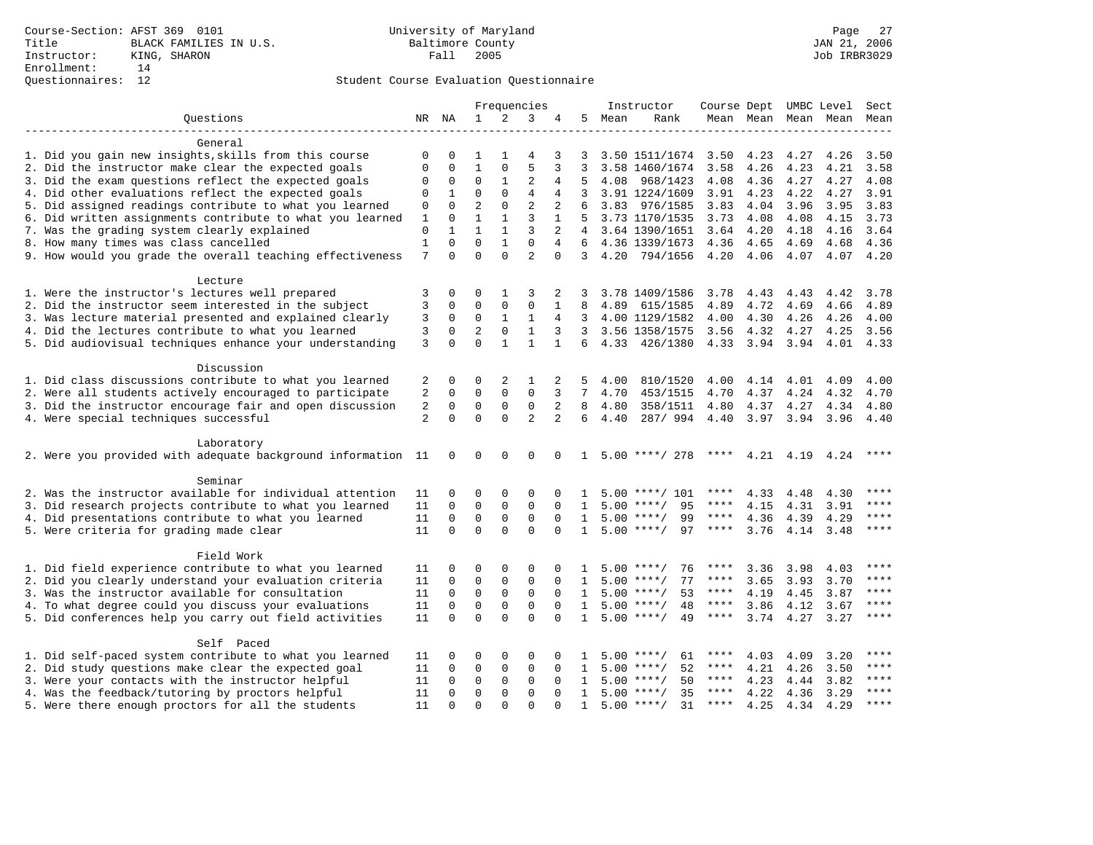|                                                              |                |               |                |                            | Frequencies                 |                |              |      | Instructor                               | Course Dept UMBC Level Sect |                |                           |                          |             |
|--------------------------------------------------------------|----------------|---------------|----------------|----------------------------|-----------------------------|----------------|--------------|------|------------------------------------------|-----------------------------|----------------|---------------------------|--------------------------|-------------|
| Ouestions                                                    |                | NR NA         | $\mathbf{1}$   | 2                          | 3                           | 4              | 5            | Mean | Rank                                     |                             |                |                           | Mean Mean Mean Mean Mean |             |
|                                                              |                |               |                |                            |                             |                |              |      |                                          |                             |                |                           |                          |             |
| General                                                      |                |               |                |                            |                             |                |              |      |                                          |                             |                |                           |                          |             |
| 1. Did you gain new insights, skills from this course        | 0              | 0             | 1              | 1                          | 4                           | 3              | 3            |      | 3.50 1511/1674                           | 3.50                        | 4.23           | 4.27                      | 4.26                     | 3.50        |
| 2. Did the instructor make clear the expected goals          | $\Omega$       | 0             | $\mathbf{1}$   | $\mathbf 0$                | 5                           | 3              | 3            |      | 3.58 1460/1674                           | 3.58                        | 4.26           | 4.23                      | 4.21                     | 3.58        |
| 3. Did the exam questions reflect the expected goals         | $\mathbf 0$    | 0             | 0              | 1                          | $\overline{c}$              | 4              | 5            | 4.08 | 968/1423                                 | 4.08                        | 4.36           | 4.27                      | 4.27                     | 4.08        |
| 4. Did other evaluations reflect the expected goals          | $\mathbf 0$    | $\mathbf 1$   | $\Omega$       | $\Omega$                   | $\overline{4}$              | 4              | 3            |      | 3.91 1224/1609                           | 3.91                        | 4.23           | 4.22                      | 4.27                     | 3.91        |
| 5. Did assigned readings contribute to what you learned      | 0              | $\Omega$      | $\overline{2}$ | $\Omega$                   | $\overline{2}$              | 2              | 6            | 3.83 | 976/1585                                 | 3.83                        | 4.04           | 3.96                      | 3.95                     | 3.83        |
| 6. Did written assignments contribute to what you learned    | 1              | $\Omega$      | $\mathbf{1}$   | $\mathbf{1}$               | 3                           | $\mathbf{1}$   | 5            |      | 3.73 1170/1535                           | 3.73                        | 4.08           | 4.08                      | 4.15                     | 3.73        |
| 7. Was the grading system clearly explained                  | $\mathbf{0}$   | $\mathbf{1}$  | $\mathbf{1}$   | $\mathbf{1}$               | 3                           | $\overline{2}$ | 4            |      | 3.64 1390/1651                           | 3.64                        | 4.20           | 4.18                      | 4.16                     | 3.64        |
| 8. How many times was class cancelled                        | $\mathbf{1}$   | $\Omega$      | $\Omega$       | $\mathbf{1}$               | $\Omega$                    | 4              | 6            |      | 4.36 1339/1673                           | 4.36                        | 4.65           | 4.69                      | 4.68                     | 4.36        |
| 9. How would you grade the overall teaching effectiveness    | 7              | $\Omega$      | $\Omega$       | $\Omega$                   | $\overline{a}$              | $\Omega$       | 3            | 4.20 | 794/1656                                 | 4.20                        | 4.06           | 4.07                      | 4.07                     | 4.20        |
| Lecture                                                      |                |               |                |                            |                             |                |              |      |                                          |                             |                |                           |                          |             |
| 1. Were the instructor's lectures well prepared              | 3              | 0             | 0              | 1                          | 3                           | 2              | 3            |      | 3.78 1409/1586                           | 3.78                        | 4.43           | 4.43                      | 4.42                     | 3.78        |
| 2. Did the instructor seem interested in the subject         | 3              | $\Omega$      | $\Omega$       | $\mathbf 0$                | $\mathbf 0$                 | $\mathbf{1}$   | 8            | 4.89 | 615/1585                                 | 4.89                        | 4.72           | 4.69                      | 4.66                     | 4.89        |
| 3. Was lecture material presented and explained clearly      | 3              | $\mathbf 0$   | $\mathbf 0$    | $\mathbf{1}$               | $\mathbf{1}$                | 4              | 3            |      | 4.00 1129/1582                           | 4.00                        | 4.30           | 4.26                      | 4.26                     | 4.00        |
| 4. Did the lectures contribute to what you learned           | 3              | $\mathbf 0$   | $\overline{2}$ | $\mathsf 0$                | $\mathbf{1}$                | 3              | 3            |      | 3.56 1358/1575                           | 3.56                        | 4.32           | 4.27                      | 4.25                     | 3.56        |
| 5. Did audiovisual techniques enhance your understanding     | 3              | $\Omega$      | $\Omega$       | $\mathbf{1}$               | $\mathbf{1}$                | $\mathbf{1}$   | 6            |      | 4.33 426/1380                            |                             | 4.33 3.94 3.94 |                           | 4.01                     | 4.33        |
|                                                              |                |               |                |                            |                             |                |              |      |                                          |                             |                |                           |                          |             |
| Discussion                                                   |                |               |                |                            |                             |                |              |      |                                          |                             |                |                           |                          |             |
| 1. Did class discussions contribute to what you learned      | 2              | 0             | 0              | 2                          | 1                           | 2              | 5            | 4.00 | 810/1520                                 | 4.00                        | 4.14           | 4.01                      | 4.09                     | 4.00        |
| 2. Were all students actively encouraged to participate      | 2              | $\mathbf 0$   | $\mathbf 0$    | $\mathbf 0$                | $\mathbf 0$                 | 3              | 7            | 4.70 | 453/1515                                 | 4.70                        | 4.37           | 4.24                      | 4.32                     | 4.70        |
| 3. Did the instructor encourage fair and open discussion     | 2              | $\mathbf 0$   | $\mathbf 0$    | $\mathbf 0$                | $\mathbf 0$                 | 2              | 8            | 4.80 | 358/1511                                 | 4.80                        | 4.37           | 4.27                      | 4.34                     | 4.80        |
| 4. Were special techniques successful                        | $\overline{2}$ | $\Omega$      | $\Omega$       | $\Omega$                   | $\overline{a}$              | $\overline{a}$ | 6            | 4.40 | 287/994                                  | 4.40                        | 3.97           | 3.94                      | 3.96                     | 4.40        |
|                                                              |                |               |                |                            |                             |                |              |      |                                          |                             |                |                           |                          |             |
| Laboratory                                                   |                |               |                |                            |                             |                |              |      |                                          |                             |                |                           |                          |             |
| 2. Were you provided with adequate background information 11 |                | 0             | $\mathbf 0$    | $\mathbf 0$                | $\mathbf 0$                 | $\Omega$       | $\mathbf{1}$ |      | $5.00$ ****/ 278                         |                             |                | **** $4.21$ $4.19$ $4.24$ |                          |             |
| Seminar                                                      |                |               |                |                            |                             |                |              |      |                                          |                             |                |                           |                          |             |
| 2. Was the instructor available for individual attention     | 11             | 0             | 0              | $\mathbf 0$                | $\mathbf 0$                 | $\Omega$       | 1            |      | $5.00$ ****/ 101                         | ****                        | 4.33           | 4.48                      | 4.30                     | $***$ * * * |
| 3. Did research projects contribute to what you learned      | 11             | $\Omega$      | $\mathbf 0$    | $\mathbf 0$                | $\mathbf 0$                 | $\Omega$       | $\mathbf{1}$ |      | 95<br>$5.00$ ****/                       | $***$ * *                   | 4.15           | 4.31                      | 3.91                     | ****        |
| 4. Did presentations contribute to what you learned          | 11             | $\Omega$      | $\mathbf 0$    | $\mathbf 0$                | $\mathbf 0$                 | $\Omega$       | $\mathbf{1}$ |      | 99<br>$5.00$ ****/                       | $***$ * * *                 | 4.36           | 4.39                      | 4.29                     | ****        |
| 5. Were criteria for grading made clear                      | 11             | $\Omega$      | $\Omega$       | $\Omega$                   | $\Omega$                    | $\Omega$       | $\mathbf{1}$ |      | $5.00$ ****/<br>97                       | $***$ * *                   | 3.76           | 4.14                      | 3.48                     | $***$       |
|                                                              |                |               |                |                            |                             |                |              |      |                                          |                             |                |                           |                          |             |
| Field Work                                                   |                |               |                |                            |                             |                |              |      |                                          |                             |                |                           |                          |             |
| 1. Did field experience contribute to what you learned       | 11             | 0             | 0              | $\mathbf 0$                | $\mathbf 0$                 | $\mathbf 0$    | 1            |      | $5.00$ ****/<br>76                       | ****                        | 3.36           | 3.98                      | 4.03                     |             |
| 2. Did you clearly understand your evaluation criteria       | 11             | 0             | 0              | $\mathsf 0$                | $\mathsf 0$                 | $\mathbf 0$    | 1            | 5.00 | 77<br>$***$ /                            | ****                        | 3.65           | 3.93                      | 3.70                     | ****        |
| 3. Was the instructor available for consultation             | 11             | 0             | $\mathbf 0$    | $\mathbf 0$                | $\mathbf 0$                 | $\Omega$       | $\mathbf{1}$ |      | $5.00$ ****/<br>53                       | ****                        | 4.19           | 4.45                      | 3.87                     | ****        |
| 4. To what degree could you discuss your evaluations         | 11             | $\mathbf 0$   | $\mathbf 0$    | $\mathbf{0}$               | $\mathbf 0$                 | $\Omega$       | $\mathbf{1}$ |      | $5.00$ ****/<br>48                       | $***$ * *                   | 3.86           | 4.12                      | 3.67                     | $***$       |
| 5. Did conferences help you carry out field activities       | 11             | $\Omega$      | $\Omega$       | $\Omega$                   | $\Omega$                    | $\Omega$       | $\mathbf{1}$ |      | $5.00$ ****/<br>49                       | $***$ * * *                 | 3.74           | 4.27                      | 3.27                     | ****        |
|                                                              |                |               |                |                            |                             |                |              |      |                                          |                             |                |                           |                          |             |
| Self Paced                                                   |                |               |                | $\Omega$                   |                             | O              |              |      |                                          | ****                        |                |                           |                          | ****        |
| 1. Did self-paced system contribute to what you learned      | 11             | 0             | 0              |                            | $\mathbf 0$                 |                | 1            |      | 61<br>$5.00$ ****/                       | ****                        | 4.03           | 4.09                      | 3.20                     | ****        |
| 2. Did study questions make clear the expected goal          | 11<br>11       | 0<br>$\Omega$ | 0<br>0         | $\mathbf 0$<br>$\mathbf 0$ | $\mathbf 0$<br>$\mathbf{0}$ | 0<br>$\Omega$  | 1<br>1       |      | $5.00$ ****/<br>52<br>50<br>$5.00$ ****/ | $***$ * *                   | 4.21<br>4.23   | 4.26                      | 3.50                     | ****        |
| 3. Were your contacts with the instructor helpful            | 11             | $\Omega$      | $\mathbf 0$    | $\mathbf{0}$               | $\mathbf{0}$                | $\Omega$       | $\mathbf{1}$ |      | $5.00$ ****/<br>35                       | ****                        | 4.22           | 4.44                      | 3.82                     | ****        |
| 4. Was the feedback/tutoring by proctors helpful             |                | $\Omega$      | $\Omega$       | $\Omega$                   | $\Omega$                    | $\cap$         | $\mathbf{1}$ |      | $5.00$ ****/<br>31                       | ****                        |                | 4.36                      | 3.29                     | ****        |
| 5. Were there enough proctors for all the students           | 11             |               |                |                            |                             |                |              |      |                                          |                             | 4.25           | 4.34                      | 4.29                     |             |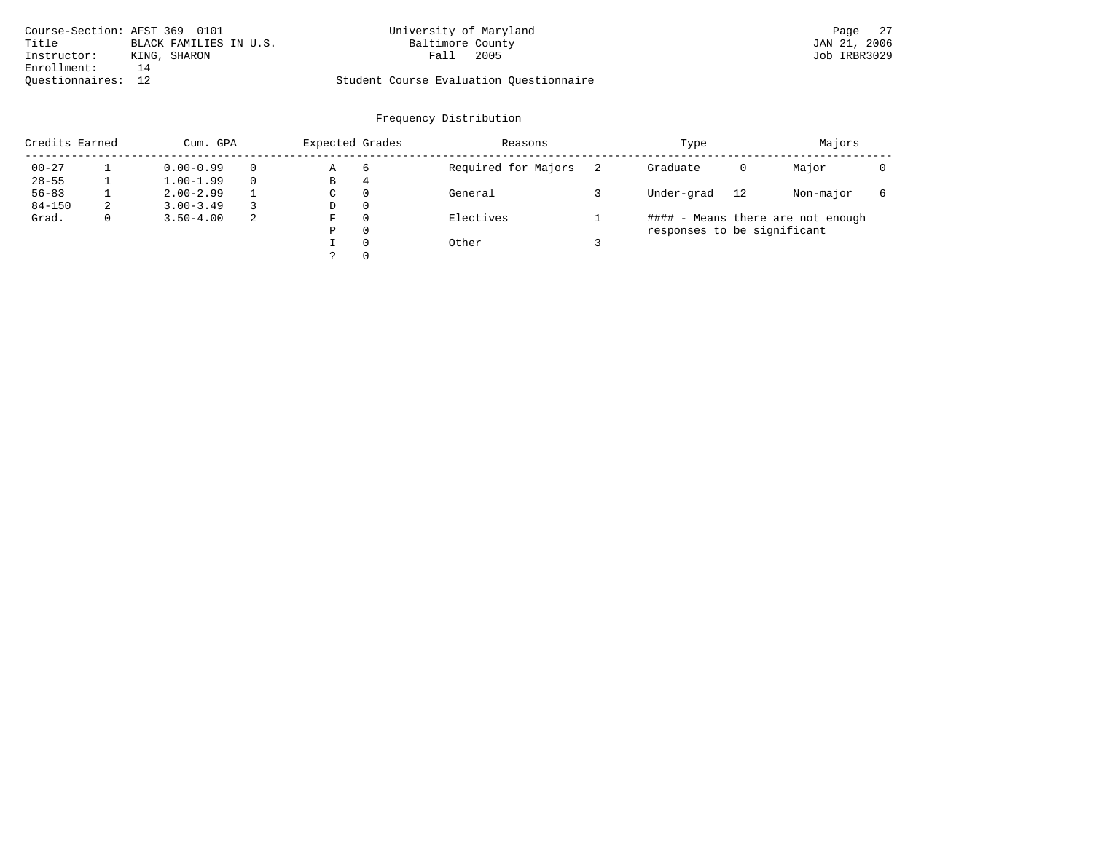| Course-Section: AFST 369 0101 |                        | University of Maryland                  | Page 27      |
|-------------------------------|------------------------|-----------------------------------------|--------------|
| Title                         | BLACK FAMILIES IN U.S. | Baltimore County                        | JAN 21, 2006 |
| Instructor:                   | KING, SHARON           | 2005<br>Fall                            | Job IRBR3029 |
| Enrollment:                   | 14                     |                                         |              |
| Ouestionnaires: 12            |                        | Student Course Evaluation Questionnaire |              |

| Credits Earned |   | Cum. GPA      |          | Expected Grades |          | Reasons             | Type                        | Majors |                                   |   |
|----------------|---|---------------|----------|-----------------|----------|---------------------|-----------------------------|--------|-----------------------------------|---|
| $00 - 27$      |   | $0.00 - 0.99$ | $\Omega$ | Α               | -6       | Required for Majors | Graduate                    | 0      | Major                             |   |
| $28 - 55$      |   | $1.00 - 1.99$ | $\Omega$ | В               | 4        |                     |                             |        |                                   |   |
| $56 - 83$      |   | $2.00 - 2.99$ |          | C               | $\Omega$ | General             | Under-grad                  | 12     | Non-major                         | 6 |
| $84 - 150$     | 2 | $3.00 - 3.49$ |          | D               | $\Omega$ |                     |                             |        |                                   |   |
| Grad.          |   | $3.50 - 4.00$ | 2        | F               | $\Omega$ | Electives           |                             |        | #### - Means there are not enough |   |
|                |   |               |          | Ρ               | 0        |                     | responses to be significant |        |                                   |   |
|                |   |               |          |                 | $\Omega$ | Other               |                             |        |                                   |   |
|                |   |               |          |                 | $\Omega$ |                     |                             |        |                                   |   |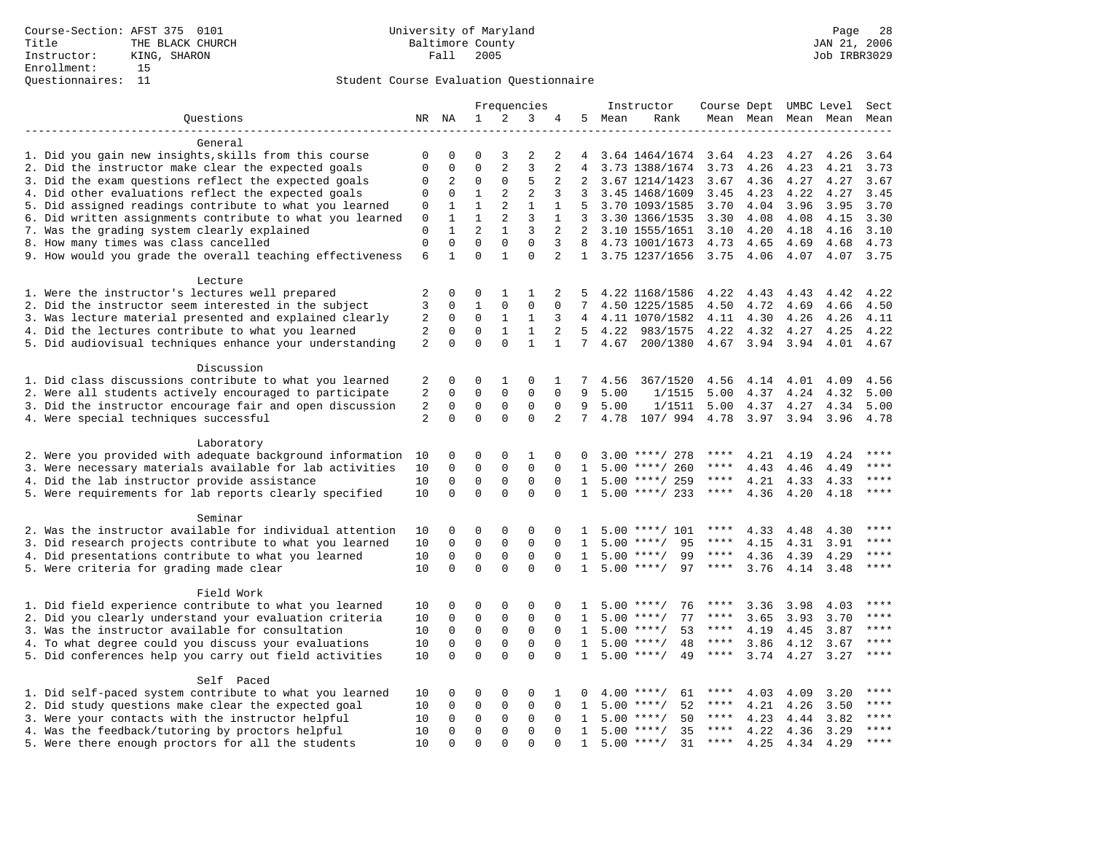|                                                           |                |              |                |                | Frequencies    |                |                 |        | Instructor               | Course Dept UMBC Level |                |      |                          | Sect        |
|-----------------------------------------------------------|----------------|--------------|----------------|----------------|----------------|----------------|-----------------|--------|--------------------------|------------------------|----------------|------|--------------------------|-------------|
| Questions                                                 |                | NR NA        | $\mathbf{1}$   | 2              | 3              | 4              |                 | 5 Mean | Rank                     |                        |                |      | Mean Mean Mean Mean Mean |             |
|                                                           |                |              |                |                |                |                |                 |        |                          |                        |                |      |                          |             |
| General                                                   |                |              |                |                |                |                |                 |        |                          |                        |                |      |                          |             |
| 1. Did you gain new insights, skills from this course     | 0              | 0            | O              | 3              | $\overline{2}$ | 2              | 4               |        | 3.64 1464/1674 3.64 4.23 |                        |                | 4.27 | 4.26                     | 3.64        |
| 2. Did the instructor make clear the expected goals       | $\Omega$       | $\Omega$     | $\Omega$       | 2              | 3              | 2              |                 |        | 3.73 1388/1674           | 3.73                   | 4.26           | 4.23 | 4.21                     | 3.73        |
| 3. Did the exam questions reflect the expected goals      | $\Omega$       | 2            | $\Omega$       | $\Omega$       | 5              | 2              |                 |        | 3.67 1214/1423           | 3.67                   | 4.36           | 4.27 | 4.27                     | 3.67        |
| 4. Did other evaluations reflect the expected goals       | $\mathbf 0$    | $\mathbf 0$  | $\mathbf{1}$   | $\overline{c}$ | $\overline{2}$ | 3              | 3               |        | 3.45 1468/1609           | 3.45                   | 4.23           | 4.22 | 4.27                     | 3.45        |
| 5. Did assigned readings contribute to what you learned   | 0              | $\mathbf{1}$ | $\mathbf{1}$   | $\overline{a}$ | $\mathbf{1}$   | $\mathbf{1}$   | 5               |        | 3.70 1093/1585           | 3.70                   | 4.04           | 3.96 | 3.95                     | 3.70        |
| 6. Did written assignments contribute to what you learned | $\mathsf 0$    | $\mathbf{1}$ | $\mathbf{1}$   | $\overline{a}$ | $\mathbf{3}$   | $\mathbf{1}$   | 3               |        | 3.30 1366/1535           | 3.30                   | 4.08           | 4.08 | 4.15                     | 3.30        |
| 7. Was the grading system clearly explained               | $\mathsf 0$    | $\mathbf{1}$ | $\overline{2}$ | $\mathbf{1}$   | 3              | 2              |                 |        | 2 3.10 1555/1651         | 3.10                   | 4.20           | 4.18 | 4.16                     | 3.10        |
| 8. How many times was class cancelled                     | $\mathbf 0$    | $\mathbf 0$  | $\Omega$       | $\Omega$       | $\Omega$       | 3              |                 |        | 8 4.73 1001/1673         | 4.73                   | 4.65           | 4.69 | 4.68                     | 4.73        |
| 9. How would you grade the overall teaching effectiveness | 6              | $\mathbf{1}$ | $\Omega$       | $\mathbf{1}$   | $\Omega$       | $\overline{a}$ |                 |        | 1 3.75 1237/1656 3.75    |                        | 4.06           | 4.07 | 4.07 3.75                |             |
| Lecture                                                   |                |              |                |                |                |                |                 |        |                          |                        |                |      |                          |             |
| 1. Were the instructor's lectures well prepared           | 2              | $\mathbf 0$  | $\Omega$       | 1              | 1              | 2              | 5               |        | 4.22 1168/1586           | 4.22                   | 4.43           | 4.43 | 4.42                     | 4.22        |
| 2. Did the instructor seem interested in the subject      | 3              | 0            | $\mathbf{1}$   | $\mathbf 0$    | $\mathbf 0$    | $\mathbf 0$    | 7               |        | 4.50 1225/1585           | 4.50                   | 4.72           | 4.69 | 4.66                     | 4.50        |
| 3. Was lecture material presented and explained clearly   | 2              | $\mathbf 0$  | $\mathbf 0$    | $\mathbf{1}$   | $\mathbf{1}$   | 3              | $4\overline{ }$ |        | 4.11 1070/1582           | 4.11                   | 4.30           | 4.26 | 4.26                     | 4.11        |
| 4. Did the lectures contribute to what you learned        | 2              | 0            | $\mathbf 0$    | $\mathbf{1}$   | $\mathbf{1}$   | $\overline{2}$ | 5               | 4.22   | 983/1575                 | 4.22                   | 4.32           | 4.27 | 4.25                     | 4.22        |
|                                                           | 2              | $\Omega$     | $\Omega$       | $\Omega$       | $\mathbf{1}$   | $\mathbf{1}$   | $7^{\circ}$     | 4.67   | 200/1380                 |                        |                |      | 4.01                     | 4.67        |
| 5. Did audiovisual techniques enhance your understanding  |                |              |                |                |                |                |                 |        |                          |                        | 4.67 3.94 3.94 |      |                          |             |
| Discussion                                                |                |              |                |                |                |                |                 |        |                          |                        |                |      |                          |             |
| 1. Did class discussions contribute to what you learned   | 2              | 0            | $\Omega$       | 1              | $\Omega$       | 1              |                 | 4.56   | 367/1520                 | 4.56                   | 4.14           | 4.01 | 4.09                     | 4.56        |
| 2. Were all students actively encouraged to participate   | $\overline{2}$ | 0            | $\mathbf{0}$   | $\mathbf 0$    | $\mathbf 0$    | $\Omega$       | 9               | 5.00   | 1/1515                   | 5.00                   | 4.37           | 4.24 | 4.32                     | 5.00        |
| 3. Did the instructor encourage fair and open discussion  | $\overline{c}$ | $\mathbf 0$  | $\mathbf 0$    | $\mathbf 0$    | $\mathbf 0$    | $\mathbf 0$    | 9               | 5.00   | 1/1511                   | 5.00                   | 4.37           | 4.27 | 4.34                     | 5.00        |
| 4. Were special techniques successful                     | 2              | $\Omega$     | $\Omega$       | $\Omega$       | $\Omega$       | 2              | 7               | 4.78   | 107/ 994                 | 4.78                   | 3.97           | 3.94 | 3.96                     | 4.78        |
| Laboratory                                                |                |              |                |                |                |                |                 |        |                          |                        |                |      |                          |             |
| 2. Were you provided with adequate background information | 10             | 0            | $\Omega$       | $\Omega$       | 1              | 0              | 0               |        | $3.00$ ****/ 278         | ****                   | 4.21           | 4.19 | 4.24                     | ****        |
| 3. Were necessary materials available for lab activities  | 10             | 0            | $\Omega$       | 0              | $\mathbf 0$    | $\Omega$       | $\mathbf{1}$    |        | $5.00$ ****/ 260         | ****                   | 4.43           | 4.46 | 4.49                     | ****        |
| 4. Did the lab instructor provide assistance              | 10             | $\mathbf 0$  | $\mathbf 0$    | $\mathbf 0$    | $\mathbf 0$    | $\Omega$       | $\mathbf{1}$    |        | $5.00$ ****/ 259         | $***$ * * *            | 4.21           |      | 4.33 4.33                | $***$       |
| 5. Were requirements for lab reports clearly specified    | 10             | $\Omega$     | $\Omega$       | $\Omega$       | $\Omega$       | $\Omega$       | 1               |        | $5.00$ ****/ 233         | ****                   | 4.36           | 4.20 | 4.18                     | ****        |
| Seminar                                                   |                |              |                |                |                |                |                 |        |                          |                        |                |      |                          |             |
| 2. Was the instructor available for individual attention  | 10             | 0            | 0              | 0              | 0              | $\Omega$       | 1               |        | $5.00$ ****/ 101         | ****                   | 4.33           | 4.48 | 4.30                     | ****        |
| 3. Did research projects contribute to what you learned   | 10             | 0            | $\mathbf 0$    | $\mathbf 0$    | $\mathbf 0$    | $\Omega$       | 1               |        | $5.00$ ****/<br>95       | $***$ * * *            | 4.15           | 4.31 | 3.91                     | $***$       |
| 4. Did presentations contribute to what you learned       | 10             | 0            | $\mathbf 0$    | 0              | $\mathbf 0$    | $\mathbf 0$    | $\mathbf{1}$    |        | $5.00$ ****/<br>99       | $***$ * * *            | 4.36           | 4.39 | 4.29                     | $***$       |
| 5. Were criteria for grading made clear                   | 10             | $\Omega$     | $\Omega$       | $\Omega$       | $\Omega$       | $\Omega$       | $\mathbf{1}$    |        | $5.00$ ****/<br>97       | $***$ * * *            | 3.76           |      | 4.14 3.48                | $***$       |
|                                                           |                |              |                |                |                |                |                 |        |                          |                        |                |      |                          |             |
| Field Work                                                |                |              |                |                |                |                |                 |        |                          |                        |                |      |                          |             |
| 1. Did field experience contribute to what you learned    | 10             | 0            | $\Omega$       | 0              | $\Omega$       | 0              | 1               |        | 76<br>$5.00$ ****/       | ****                   | 3.36           | 3.98 | 4.03                     | $***$ * * * |
| 2. Did you clearly understand your evaluation criteria    | 10             | $\mathbf 0$  | $\mathsf 0$    | $\mathsf 0$    | $\mathsf 0$    | $\mathbf 0$    | 1               | 5.00   | 77<br>$***$ /            | ****                   | 3.65           | 3.93 | 3.70                     | ****        |
| 3. Was the instructor available for consultation          | 10             | $\mathbf 0$  | $\mathbf 0$    | $\mathsf 0$    | $\mathsf 0$    | $\mathbf 0$    | 1               |        | 53<br>$5.00$ ****/       | $***$ * * *            | 4.19           | 4.45 | 3.87                     | $***$       |
| 4. To what degree could you discuss your evaluations      | 10             | $\mathbf 0$  | $\mathbf 0$    | 0              | $\mathbf 0$    | $\Omega$       | $\mathbf{1}$    |        | $5.00$ ****/<br>48       | $***$ * * *            | 3.86           | 4.12 | 3.67                     | $***$       |
| 5. Did conferences help you carry out field activities    | 10             | $\Omega$     | $\Omega$       | $\Omega$       | $\Omega$       | $\Omega$       | $\mathbf{1}$    |        | $5.00$ ****/<br>49       | $***$ * * *            | 3.74           | 4.27 | 3.27                     | $***$       |
| Self Paced                                                |                |              |                |                |                |                |                 |        |                          |                        |                |      |                          |             |
| 1. Did self-paced system contribute to what you learned   | 10             | 0            | $\Omega$       | $\Omega$       | $\mathbf 0$    |                |                 |        | 61<br>$4.00$ ****/       | ****                   | 4.03           | 4.09 | 3.20                     | $***$       |
| 2. Did study questions make clear the expected goal       | 10             | 0            | $\mathbf 0$    | 0              | $\mathbf 0$    | $\mathbf 0$    | 1               | 5.00   | 52<br>$***/$             | ****                   | 4.21           | 4.26 | 3.50                     | ****        |
| 3. Were your contacts with the instructor helpful         | 10             | 0            | $\mathbf 0$    | $\mathsf 0$    | $\mathsf 0$    | $\mathbf 0$    | 1               |        | 50<br>$5.00$ ****/       | ****                   | 4.23           | 4.44 | 3.82                     | ****        |
| 4. Was the feedback/tutoring by proctors helpful          | 10             | $\Omega$     | $\mathbf{0}$   | 0              | $\mathbf 0$    | $\Omega$       | 1               |        | $5.00$ ****/<br>35       | ****                   | 4.22           | 4.36 | 3.29                     | $***$       |
| 5. Were there enough proctors for all the students        | 10             | $\Omega$     | $\Omega$       | $\Omega$       | $\Omega$       | $\Omega$       | $\mathbf{1}$    |        | $5.00$ ****/<br>31       | ****                   | 4.25           | 4.34 | 4.29                     | $***$       |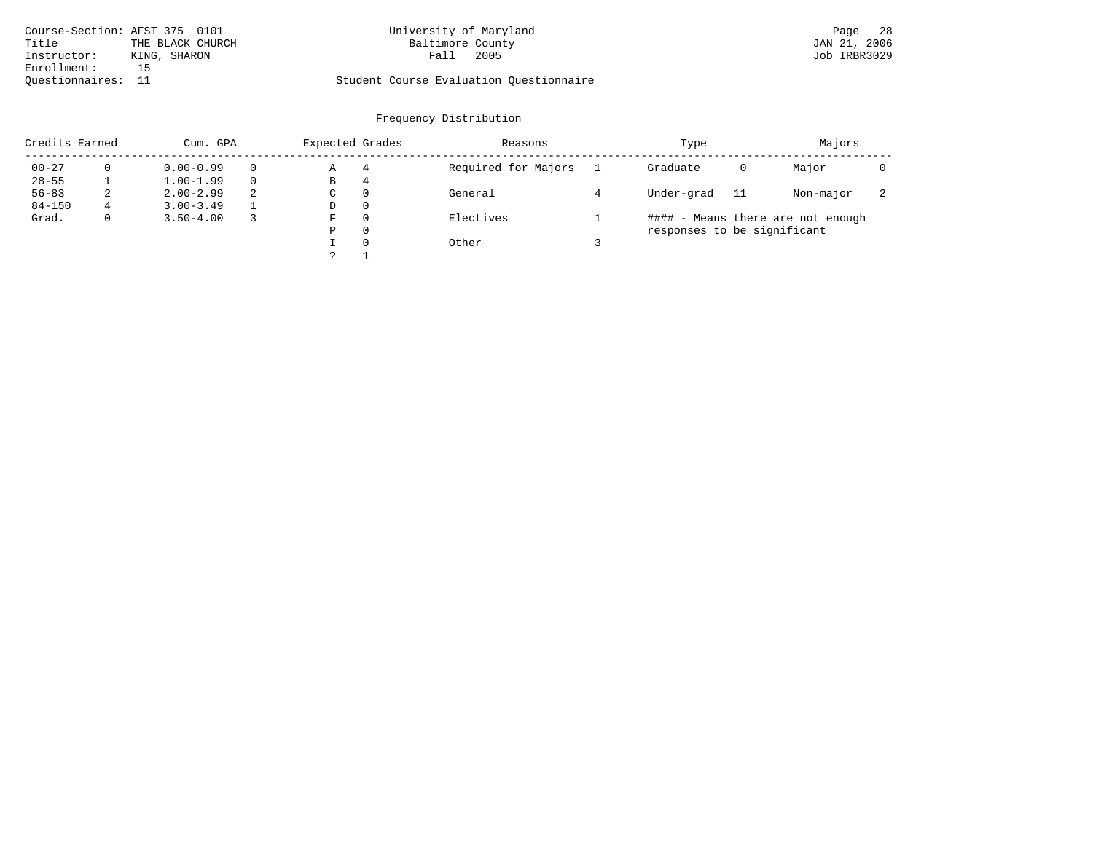| Course-Section: AFST 375 0101 |                  | University of Maryland                  | - 28<br>Page |
|-------------------------------|------------------|-----------------------------------------|--------------|
| Title                         | THE BLACK CHURCH | Baltimore County                        | JAN 21, 2006 |
| Instructor:                   | KING, SHARON     | 2005<br>Fall                            | Job IRBR3029 |
| Enrollment:                   |                  |                                         |              |
| Ouestionnaires:               |                  | Student Course Evaluation Ouestionnaire |              |

# University of Maryland **Page 28**

# Questionnaires: 11 Student Course Evaluation Questionnaire

| Credits Earned |    | Cum. GPA      |          |   | Expected Grades | Reasons             | Type                        | Majors |                                   |                          |
|----------------|----|---------------|----------|---|-----------------|---------------------|-----------------------------|--------|-----------------------------------|--------------------------|
| $00 - 27$      |    | $0.00 - 0.99$ | $\Omega$ | Α | 4               | Required for Majors | Graduate                    | 0      | Major                             |                          |
| $28 - 55$      |    | $1.00 - 1.99$ | $\Omega$ | В | 4               |                     |                             |        |                                   |                          |
| $56 - 83$      | z. | $2.00 - 2.99$ | 2        | C | $\Omega$        | General             | Under-grad                  | 11     | Non-major                         | $\overline{\phantom{a}}$ |
| $84 - 150$     | 4  | $3.00 - 3.49$ |          | D | $\Omega$        |                     |                             |        |                                   |                          |
| Grad.          |    | $3.50 - 4.00$ |          | F | $\Omega$        | Electives           |                             |        | #### - Means there are not enough |                          |
|                |    |               |          | Ρ | 0               |                     | responses to be significant |        |                                   |                          |
|                |    |               |          |   | $\Omega$        | Other               |                             |        |                                   |                          |
|                |    |               |          |   |                 |                     |                             |        |                                   |                          |